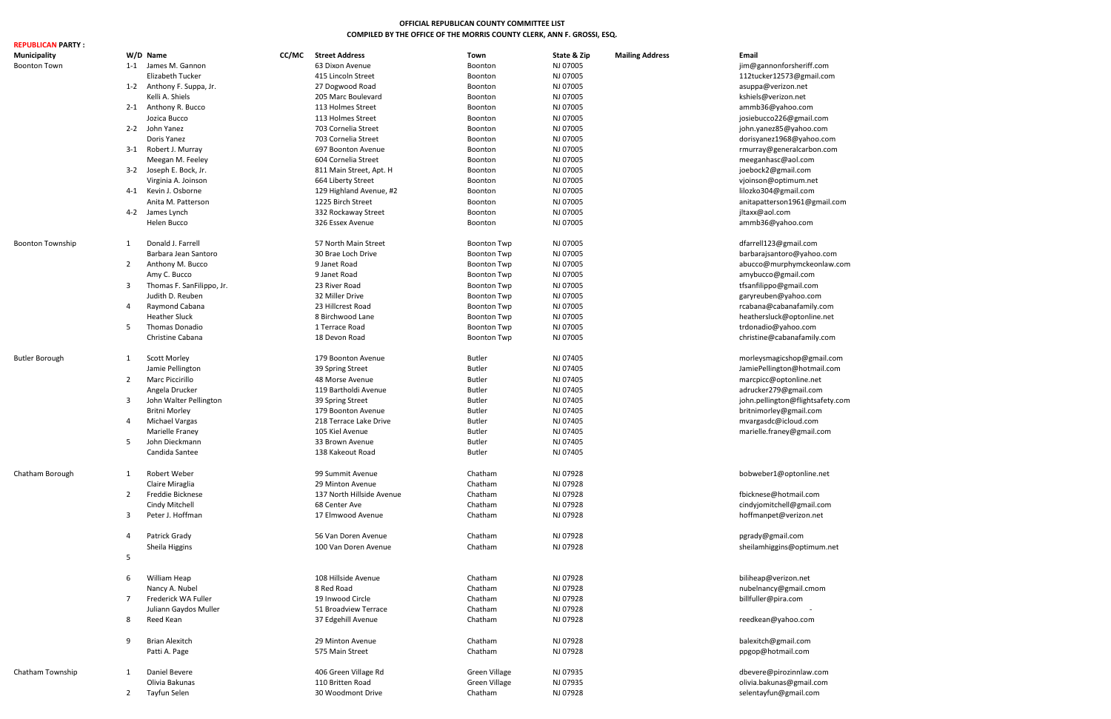| <b>REPUBLICAN PARTY:</b> |                |                           |       |                           |                      |             |                        |                                  |
|--------------------------|----------------|---------------------------|-------|---------------------------|----------------------|-------------|------------------------|----------------------------------|
| <b>Municipality</b>      |                | W/D Name                  | CC/MC | <b>Street Address</b>     | Town                 | State & Zip | <b>Mailing Address</b> | <b>Email</b>                     |
| <b>Boonton Town</b>      |                | 1-1 James M. Gannon       |       | 63 Dixon Avenue           | Boonton              | NJ 07005    |                        | jim@gannonforsheriff.com         |
|                          |                | Elizabeth Tucker          |       | 415 Lincoln Street        | Boonton              | NJ 07005    |                        | 112tucker12573@gmail.com         |
|                          |                | 1-2 Anthony F. Suppa, Jr. |       | 27 Dogwood Road           | Boonton              | NJ 07005    |                        | asuppa@verizon.net               |
|                          |                | Kelli A. Shiels           |       | 205 Marc Boulevard        | Boonton              | NJ 07005    |                        | kshiels@verizon.net              |
|                          |                | 2-1 Anthony R. Bucco      |       | 113 Holmes Street         | Boonton              | NJ 07005    |                        | ammb36@yahoo.com                 |
|                          |                |                           |       |                           |                      |             |                        |                                  |
|                          |                | Jozica Bucco              |       | 113 Holmes Street         | Boonton              | NJ 07005    |                        | josiebucco226@gmail.com          |
|                          |                | 2-2 John Yanez            |       | 703 Cornelia Street       | Boonton              | NJ 07005    |                        | john.yanez85@yahoo.com           |
|                          |                | Doris Yanez               |       | 703 Cornelia Street       | Boonton              | NJ 07005    |                        | dorisyanez1968@yahoo.com         |
|                          |                | 3-1 Robert J. Murray      |       | 697 Boonton Avenue        | Boonton              | NJ 07005    |                        | rmurray@generalcarbon.com        |
|                          |                | Meegan M. Feeley          |       | 604 Cornelia Street       | Boonton              | NJ 07005    |                        | meeganhasc@aol.com               |
|                          |                | 3-2 Joseph E. Bock, Jr.   |       | 811 Main Street, Apt. H   | Boonton              | NJ 07005    |                        | joebock2@gmail.com               |
|                          |                | Virginia A. Joinson       |       | 664 Liberty Street        | Boonton              | NJ 07005    |                        | vjoinson@optimum.net             |
|                          |                | 4-1 Kevin J. Osborne      |       | 129 Highland Avenue, #2   | Boonton              | NJ 07005    |                        | lilozko304@gmail.com             |
|                          |                | Anita M. Patterson        |       | 1225 Birch Street         | Boonton              | NJ 07005    |                        | anitapatterson1961@gmail.com     |
|                          |                | 4-2 James Lynch           |       | 332 Rockaway Street       | Boonton              | NJ 07005    |                        | jltaxx@aol.com                   |
|                          |                | Helen Bucco               |       | 326 Essex Avenue          | Boonton              | NJ 07005    |                        | ammb36@yahoo.com                 |
|                          |                |                           |       |                           |                      |             |                        |                                  |
| <b>Boonton Township</b>  | 1              | Donald J. Farrell         |       | 57 North Main Street      | <b>Boonton Twp</b>   | NJ 07005    |                        | dfarrell123@gmail.com            |
|                          |                | Barbara Jean Santoro      |       | 30 Brae Loch Drive        | <b>Boonton Twp</b>   | NJ 07005    |                        |                                  |
|                          |                |                           |       |                           |                      |             |                        | barbarajsantoro@yahoo.com        |
|                          | $\overline{2}$ | Anthony M. Bucco          |       | 9 Janet Road              | <b>Boonton Twp</b>   | NJ 07005    |                        | abucco@murphymckeonlaw.com       |
|                          |                | Amy C. Bucco              |       | 9 Janet Road              | <b>Boonton Twp</b>   | NJ 07005    |                        | amybucco@gmail.com               |
|                          | 3              | Thomas F. SanFilippo, Jr. |       | 23 River Road             | <b>Boonton Twp</b>   | NJ 07005    |                        | tfsanfilippo@gmail.com           |
|                          |                | Judith D. Reuben          |       | 32 Miller Drive           | <b>Boonton Twp</b>   | NJ 07005    |                        | garyreuben@yahoo.com             |
|                          | 4              | Raymond Cabana            |       | 23 Hillcrest Road         | <b>Boonton Twp</b>   | NJ 07005    |                        | rcabana@cabanafamily.com         |
|                          |                | <b>Heather Sluck</b>      |       | 8 Birchwood Lane          | <b>Boonton Twp</b>   | NJ 07005    |                        | heathersluck@optonline.net       |
|                          | 5              | Thomas Donadio            |       | 1 Terrace Road            | <b>Boonton Twp</b>   | NJ 07005    |                        | trdonadio@yahoo.com              |
|                          |                | Christine Cabana          |       | 18 Devon Road             | <b>Boonton Twp</b>   | NJ 07005    |                        | christine@cabanafamily.com       |
|                          |                |                           |       |                           |                      |             |                        |                                  |
| <b>Butler Borough</b>    | 1              | <b>Scott Morley</b>       |       | 179 Boonton Avenue        | <b>Butler</b>        | NJ 07405    |                        | morleysmagicshop@gmail.com       |
|                          |                | Jamie Pellington          |       | 39 Spring Street          | <b>Butler</b>        | NJ 07405    |                        | JamiePellington@hotmail.com      |
|                          | $\overline{2}$ | <b>Marc Piccirillo</b>    |       | 48 Morse Avenue           | <b>Butler</b>        | NJ 07405    |                        |                                  |
|                          |                |                           |       |                           |                      |             |                        | marcpicc@optonline.net           |
|                          |                | Angela Drucker            |       | 119 Bartholdi Avenue      | <b>Butler</b>        | NJ 07405    |                        | adrucker279@gmail.com            |
|                          | 3              | John Walter Pellington    |       | 39 Spring Street          | <b>Butler</b>        | NJ 07405    |                        | john.pellington@flightsafety.com |
|                          |                | Britni Morley             |       | 179 Boonton Avenue        | <b>Butler</b>        | NJ 07405    |                        | britnimorley@gmail.com           |
|                          | 4              | <b>Michael Vargas</b>     |       | 218 Terrace Lake Drive    | <b>Butler</b>        | NJ 07405    |                        | mvargasdc@icloud.com             |
|                          |                | Marielle Franey           |       | 105 Kiel Avenue           | <b>Butler</b>        | NJ 07405    |                        | marielle.franey@gmail.com        |
|                          | 5              | John Dieckmann            |       | 33 Brown Avenue           | <b>Butler</b>        | NJ 07405    |                        |                                  |
|                          |                | Candida Santee            |       | 138 Kakeout Road          | <b>Butler</b>        | NJ 07405    |                        |                                  |
|                          |                |                           |       |                           |                      |             |                        |                                  |
| Chatham Borough          | 1              | Robert Weber              |       | 99 Summit Avenue          | Chatham              | NJ 07928    |                        | bobweber1@optonline.net          |
|                          |                | Claire Miraglia           |       | 29 Minton Avenue          | Chatham              | NJ 07928    |                        |                                  |
|                          | $\overline{2}$ | Freddie Bicknese          |       | 137 North Hillside Avenue | Chatham              | NJ 07928    |                        | fbicknese@hotmail.com            |
|                          |                | Cindy Mitchell            |       | 68 Center Ave             | Chatham              | NJ 07928    |                        | cindyjomitchell@gmail.com        |
|                          | 3              | Peter J. Hoffman          |       | 17 Elmwood Avenue         | Chatham              | NJ 07928    |                        | hoffmanpet@verizon.net           |
|                          |                |                           |       |                           |                      |             |                        |                                  |
|                          | 4              | Patrick Grady             |       | 56 Van Doren Avenue       | Chatham              | NJ 07928    |                        | pgrady@gmail.com                 |
|                          |                | Sheila Higgins            |       | 100 Van Doren Avenue      | Chatham              | NJ 07928    |                        | sheilamhiggins@optimum.net       |
|                          | 5              |                           |       |                           |                      |             |                        |                                  |
|                          |                |                           |       |                           |                      |             |                        |                                  |
|                          | 6              | William Heap              |       | 108 Hillside Avenue       | Chatham              | NJ 07928    |                        | biliheap@verizon.net             |
|                          |                | Nancy A. Nubel            |       | 8 Red Road                | Chatham              | NJ 07928    |                        | nubelnancy@gmail.cmom            |
|                          | 7              | Frederick WA Fuller       |       | 19 Inwood Circle          | Chatham              | NJ 07928    |                        | billfuller@pira.com              |
|                          |                |                           |       |                           |                      |             |                        |                                  |
|                          |                | Juliann Gaydos Muller     |       | 51 Broadview Terrace      | Chatham              | NJ 07928    |                        |                                  |
|                          | 8              | Reed Kean                 |       | 37 Edgehill Avenue        | Chatham              | NJ 07928    |                        | reedkean@yahoo.com               |
|                          |                |                           |       |                           |                      |             |                        |                                  |
|                          | 9              | <b>Brian Alexitch</b>     |       | 29 Minton Avenue          | Chatham              | NJ 07928    |                        | balexitch@gmail.com              |
|                          |                | Patti A. Page             |       | 575 Main Street           | Chatham              | NJ 07928    |                        | ppgop@hotmail.com                |
|                          |                |                           |       |                           |                      |             |                        |                                  |
| Chatham Township         | 1              | Daniel Bevere             |       | 406 Green Village Rd      | Green Village        | NJ 07935    |                        | dbevere@pirozinnlaw.com          |
|                          |                | Olivia Bakunas            |       | 110 Britten Road          | <b>Green Village</b> | NJ 07935    |                        | olivia.bakunas@gmail.com         |
|                          | $\overline{2}$ | Tayfun Selen              |       | 30 Woodmont Drive         | Chatham              | NJ 07928    |                        | selentayfun@gmail.com            |

# **OFFICIAL REPUBLICAN COUNTY COMMITTEE LIST COMPILED BY THE OFFICE OF THE MORRIS COUNTY CLERK, ANN F. GROSSI, ESQ.**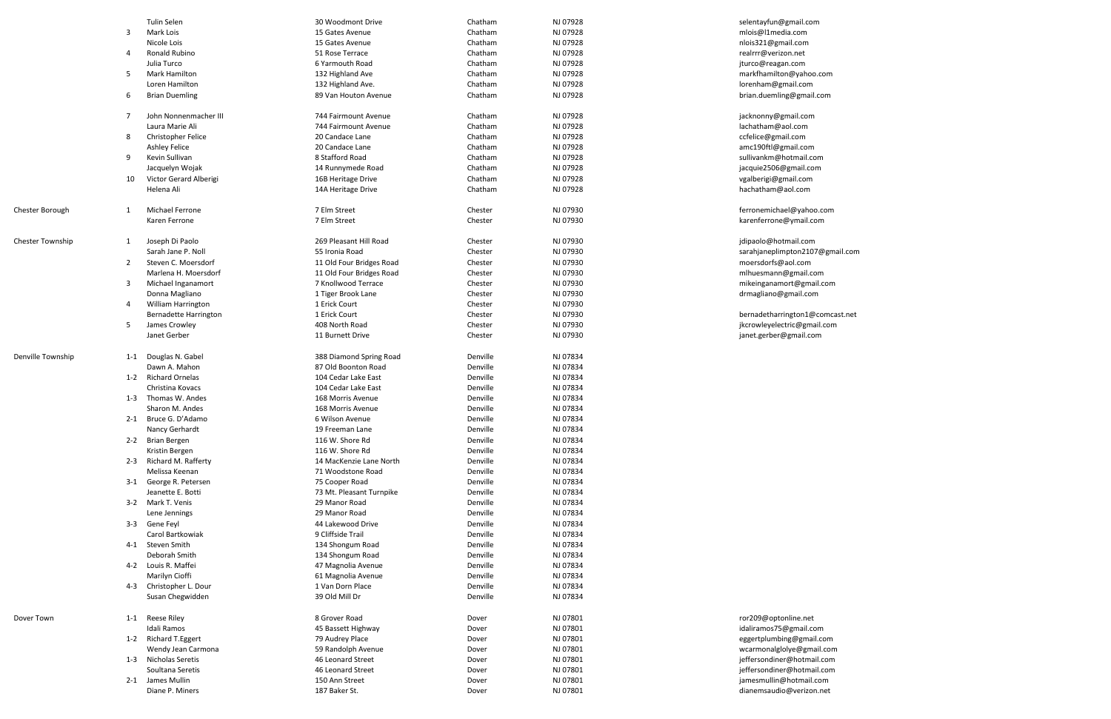|                         |                | <b>Tulin Selen</b>                        | 30 Woodmont Drive                      | Chatham              | NJ 07928             | selentayfun@gmail.com           |
|-------------------------|----------------|-------------------------------------------|----------------------------------------|----------------------|----------------------|---------------------------------|
|                         | 3              | Mark Lois                                 | 15 Gates Avenue                        | Chatham              | NJ 07928             | mlois@l1media.com               |
|                         |                | Nicole Lois                               | 15 Gates Avenue                        | Chatham              | NJ 07928             | nlois321@gmail.com              |
|                         | 4              | Ronald Rubino                             | 51 Rose Terrace                        | Chatham              | NJ 07928             | realrrr@verizon.net             |
|                         |                | Julia Turco                               | 6 Yarmouth Road                        | Chatham              | NJ 07928             | jturco@reagan.com               |
|                         | 5              | <b>Mark Hamilton</b>                      | 132 Highland Ave                       | Chatham              | NJ 07928             | markfhamilton@yahoo.com         |
|                         |                | Loren Hamilton                            | 132 Highland Ave.                      | Chatham              | NJ 07928             | lorenham@gmail.com              |
|                         | 6              | <b>Brian Duemling</b>                     | 89 Van Houton Avenue                   | Chatham              | NJ 07928             | brian.duemling@gmail.com        |
|                         |                |                                           |                                        |                      |                      |                                 |
|                         | 7              | John Nonnenmacher III                     | 744 Fairmount Avenue                   | Chatham              | NJ 07928             | jacknonny@gmail.com             |
|                         |                | Laura Marie Ali                           | 744 Fairmount Avenue                   | Chatham              | NJ 07928             | lachatham@aol.com               |
|                         | 8              | Christopher Felice                        | 20 Candace Lane                        | Chatham              | NJ 07928             | ccfelice@gmail.com              |
|                         |                | <b>Ashley Felice</b>                      | 20 Candace Lane                        | Chatham              | NJ 07928             | amc190ftl@gmail.com             |
|                         | 9              | Kevin Sullivan                            | 8 Stafford Road                        | Chatham              | NJ 07928             | sullivankm@hotmail.com          |
|                         |                | Jacquelyn Wojak                           | 14 Runnymede Road                      | Chatham              | NJ 07928             | jacquie2506@gmail.com           |
|                         | 10             | Victor Gerard Alberigi                    | 16B Heritage Drive                     | Chatham              | NJ 07928             | vgalberigi@gmail.com            |
|                         |                | Helena Ali                                | 14A Heritage Drive                     | Chatham              | NJ 07928             | hachatham@aol.com               |
|                         |                |                                           |                                        |                      |                      |                                 |
| Chester Borough         | 1              | <b>Michael Ferrone</b>                    | 7 Elm Street                           | Chester              | NJ 07930             | ferronemichael@yahoo.com        |
|                         |                | Karen Ferrone                             | 7 Elm Street                           | Chester              | NJ 07930             | karenferrone@ymail.com          |
|                         |                |                                           |                                        |                      |                      |                                 |
| <b>Chester Township</b> | 1              | Joseph Di Paolo                           | 269 Pleasant Hill Road                 | Chester              | NJ 07930             | jdipaolo@hotmail.com            |
|                         |                | Sarah Jane P. Noll                        | 55 Ironia Road                         | Chester              | NJ 07930             | sarahjaneplimpton2107@gmail.com |
|                         | $\overline{2}$ | Steven C. Moersdorf                       | 11 Old Four Bridges Road               | Chester              | NJ 07930             | moersdorfs@aol.com              |
|                         |                | Marlena H. Moersdorf                      | 11 Old Four Bridges Road               | Chester              | NJ 07930             | mlhuesmann@gmail.com            |
|                         | 3              | Michael Inganamort                        | 7 Knollwood Terrace                    | Chester              | NJ 07930             | mikeinganamort@gmail.com        |
|                         |                | Donna Magliano                            | 1 Tiger Brook Lane                     | Chester              | NJ 07930             | drmagliano@gmail.com            |
|                         | 4              | <b>William Harrington</b>                 | 1 Erick Court                          | Chester              | NJ 07930             |                                 |
|                         |                | <b>Bernadette Harrington</b>              | 1 Erick Court                          | Chester              | NJ 07930             | bernadetharrington1@comcast.net |
|                         | 5              | James Crowley                             | 408 North Road                         | Chester              | NJ 07930             | jkcrowleyelectric@gmail.com     |
|                         |                | Janet Gerber                              | 11 Burnett Drive                       | Chester              | NJ 07930             | janet.gerber@gmail.com          |
|                         |                |                                           |                                        |                      |                      |                                 |
| Denville Township       | $1 - 1$        | Douglas N. Gabel                          | 388 Diamond Spring Road                | Denville             | NJ 07834             |                                 |
|                         |                | Dawn A. Mahon                             | 87 Old Boonton Road                    | Denville             | NJ 07834             |                                 |
|                         |                | 1-2 Richard Ornelas                       | 104 Cedar Lake East                    | Denville             | NJ 07834             |                                 |
|                         |                | Christina Kovacs                          | 104 Cedar Lake East                    | Denville             | NJ 07834             |                                 |
|                         | $1 - 3$        | Thomas W. Andes                           | 168 Morris Avenue                      | Denville             | NJ 07834             |                                 |
|                         |                | Sharon M. Andes                           | 168 Morris Avenue                      | Denville             | NJ 07834             |                                 |
|                         |                | 2-1 Bruce G. D'Adamo                      | 6 Wilson Avenue                        | Denville             | NJ 07834             |                                 |
|                         |                | Nancy Gerhardt                            | 19 Freeman Lane                        | Denville             | NJ 07834             |                                 |
|                         |                | 2-2 Brian Bergen                          | 116 W. Shore Rd                        | Denville             | NJ 07834             |                                 |
|                         |                | Kristin Bergen                            | 116 W. Shore Rd                        | Denville             | NJ 07834             |                                 |
|                         |                | 2-3 Richard M. Rafferty                   | 14 MacKenzie Lane North                | Denville             | NJ 07834             |                                 |
|                         |                | Melissa Keenan                            | 71 Woodstone Road                      | Denville             | NJ 07834             |                                 |
|                         |                | 3-1 George R. Petersen                    | 75 Cooper Road                         | Denville             | NJ 07834             |                                 |
|                         |                | Jeanette E. Botti                         | 73 Mt. Pleasant Turnpike               | Denville             | NJ 07834             |                                 |
|                         |                | 3-2 Mark T. Venis                         | 29 Manor Road                          | Denville             | NJ 07834             |                                 |
|                         |                | Lene Jennings                             | 29 Manor Road                          | Denville             | NJ 07834             |                                 |
|                         |                | 3-3 Gene Feyl                             | 44 Lakewood Drive                      | Denville             | NJ 07834             |                                 |
|                         |                | Carol Bartkowiak                          | 9 Cliffside Trail                      | Denville             | NJ 07834             |                                 |
|                         |                | 4-1 Steven Smith                          |                                        | Denville             | NJ 07834             |                                 |
|                         |                | Deborah Smith                             | 134 Shongum Road                       | Denville             | NJ 07834             |                                 |
|                         |                | 4-2 Louis R. Maffei                       | 134 Shongum Road                       | Denville             | NJ 07834             |                                 |
|                         |                |                                           | 47 Magnolia Avenue                     |                      |                      |                                 |
|                         |                | Marilyn Cioffi<br>4-3 Christopher L. Dour | 61 Magnolia Avenue<br>1 Van Dorn Place | Denville<br>Denville | NJ 07834<br>NJ 07834 |                                 |
|                         |                |                                           |                                        |                      |                      |                                 |
|                         |                | Susan Chegwidden                          | 39 Old Mill Dr                         | Denville             | NJ 07834             |                                 |
|                         |                |                                           |                                        |                      |                      |                                 |
| Dover Town              |                | 1-1 Reese Riley                           | 8 Grover Road                          | Dover                | NJ 07801             | ror209@optonline.net            |
|                         |                | Idali Ramos                               | 45 Bassett Highway                     | Dover                | NJ 07801             | idaliramos75@gmail.com          |
|                         |                | 1-2 Richard T. Eggert                     | 79 Audrey Place                        | Dover                | NJ 07801             | eggertplumbing@gmail.com        |
|                         |                | Wendy Jean Carmona                        | 59 Randolph Avenue                     | Dover                | NJ 07801             | wcarmonalglolye@gmail.com       |
|                         |                | 1-3 Nicholas Seretis                      | 46 Leonard Street                      | Dover                | NJ 07801             | jeffersondiner@hotmail.com      |
|                         |                | Soultana Seretis                          | 46 Leonard Street                      | Dover                | NJ 07801             | jeffersondiner@hotmail.com      |
|                         |                | 2-1 James Mullin                          | 150 Ann Street                         | Dover                | NJ 07801             | jamesmullin@hotmail.com         |
|                         |                | Diane P. Miners                           | 187 Baker St.                          | Dover                | NJ 07801             | dianemsaudio@verizon.net        |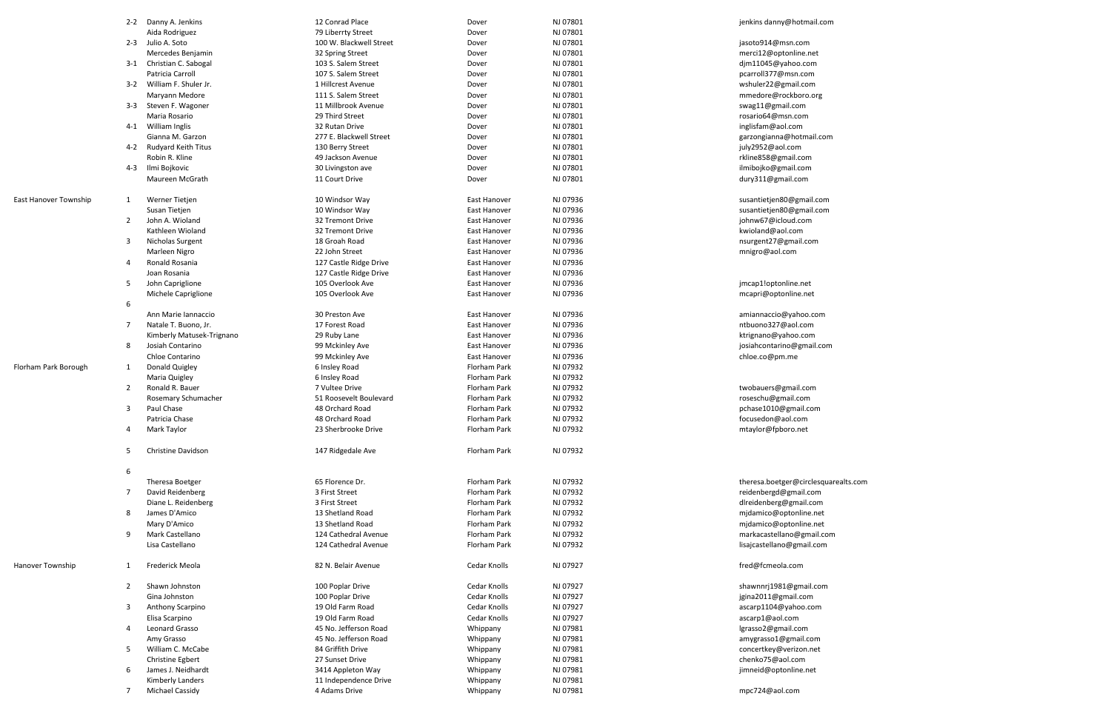|                       |                | 2-2 Danny A. Jenkins             | 12 Conrad Place         | Dover        | NJ 07801 | jenkins danny@hotmail.com            |
|-----------------------|----------------|----------------------------------|-------------------------|--------------|----------|--------------------------------------|
|                       |                | Aida Rodriguez                   | 79 Liberrty Street      | Dover        | NJ 07801 |                                      |
|                       |                | 2-3 Julio A. Soto                | 100 W. Blackwell Street | Dover        | NJ 07801 | jasoto914@msn.com                    |
|                       |                | Mercedes Benjamin                | 32 Spring Street        | Dover        | NJ 07801 | merci12@optonline.net                |
|                       |                | 3-1 Christian C. Sabogal         | 103 S. Salem Street     | Dover        | NJ 07801 | djm11045@yahoo.com                   |
|                       |                | Patricia Carroll                 | 107 S. Salem Street     | Dover        | NJ 07801 | pcarroll377@msn.com                  |
|                       | $3 - 2$        | William F. Shuler Jr.            | 1 Hillcrest Avenue      | Dover        | NJ 07801 | wshuler22@gmail.com                  |
|                       |                | Maryann Medore                   | 111 S. Salem Street     | Dover        | NJ 07801 | mmedore@rockboro.org                 |
|                       | $3-3$          | Steven F. Wagoner                | 11 Millbrook Avenue     | Dover        | NJ 07801 | swag11@gmail.com                     |
|                       |                | Maria Rosario                    | 29 Third Street         | Dover        | NJ 07801 | rosario64@msn.com                    |
|                       |                | 4-1 William Inglis               | 32 Rutan Drive          | Dover        | NJ 07801 | inglisfam@aol.com                    |
|                       |                | Gianna M. Garzon                 | 277 E. Blackwell Street | Dover        | NJ 07801 | garzongianna@hotmail.com             |
|                       |                | 4-2 Rudyard Keith Titus          | 130 Berry Street        | Dover        | NJ 07801 | july2952@aol.com                     |
|                       |                | Robin R. Kline                   | 49 Jackson Avenue       | Dover        | NJ 07801 | rkline858@gmail.com                  |
|                       | 4-3            | Ilmi Bojkovic                    | 30 Livingston ave       | Dover        | NJ 07801 | ilmibojko@gmail.com                  |
|                       |                | Maureen McGrath                  | 11 Court Drive          | Dover        | NJ 07801 | dury311@gmail.com                    |
|                       |                |                                  |                         |              |          |                                      |
| East Hanover Township | 1              | Werner Tietjen                   | 10 Windsor Way          | East Hanover | NJ 07936 | susantietjen80@gmail.com             |
|                       |                | Susan Tietjen                    | 10 Windsor Way          | East Hanover | NJ 07936 | susantietjen80@gmail.com             |
|                       | $\overline{2}$ | John A. Wioland                  | 32 Tremont Drive        | East Hanover | NJ 07936 | johnw67@icloud.com                   |
|                       |                | Kathleen Wioland                 | 32 Tremont Drive        | East Hanover | NJ 07936 | kwioland@aol.com                     |
|                       | 3              | Nicholas Surgent                 | 18 Groah Road           | East Hanover | NJ 07936 | nsurgent27@gmail.com                 |
|                       |                |                                  |                         |              |          |                                      |
|                       |                | Marleen Nigro                    | 22 John Street          | East Hanover | NJ 07936 | mnigro@aol.com                       |
|                       | 4              | Ronald Rosania                   | 127 Castle Ridge Drive  | East Hanover | NJ 07936 |                                      |
|                       |                | Joan Rosania                     | 127 Castle Ridge Drive  | East Hanover | NJ 07936 |                                      |
|                       | 5              | John Capriglione                 | 105 Overlook Ave        | East Hanover | NJ 07936 | jmcap1!optonline.net                 |
|                       |                | Michele Capriglione              | 105 Overlook Ave        | East Hanover | NJ 07936 | mcapri@optonline.net                 |
|                       | 6              |                                  |                         |              |          |                                      |
|                       |                | Ann Marie Iannaccio              | 30 Preston Ave          | East Hanover | NJ 07936 | amiannaccio@yahoo.com                |
|                       | 7              | Natale T. Buono, Jr.             | 17 Forest Road          | East Hanover | NJ 07936 | ntbuono327@aol.com                   |
|                       |                | Kimberly Matusek-Trignano        | 29 Ruby Lane            | East Hanover | NJ 07936 | ktrignano@yahoo.com                  |
|                       | 8              | Josiah Contarino                 | 99 Mckinley Ave         | East Hanover | NJ 07936 | josiahcontarino@gmail.com            |
|                       |                | Chloe Contarino                  | 99 Mckinley Ave         | East Hanover | NJ 07936 | chloe.co@pm.me                       |
| Florham Park Borough  | 1              | Donald Quigley                   | 6 Insley Road           | Florham Park | NJ 07932 |                                      |
|                       |                | Maria Quigley                    | 6 Insley Road           | Florham Park | NJ 07932 |                                      |
|                       | $\overline{2}$ | Ronald R. Bauer                  | 7 Vultee Drive          | Florham Park | NJ 07932 | twobauers@gmail.com                  |
|                       |                | Rosemary Schumacher              | 51 Roosevelt Boulevard  | Florham Park | NJ 07932 | roseschu@gmail.com                   |
|                       | 3              | Paul Chase                       | 48 Orchard Road         | Florham Park | NJ 07932 | pchase1010@gmail.com                 |
|                       |                | Patricia Chase                   | 48 Orchard Road         | Florham Park | NJ 07932 | focusedon@aol.com                    |
|                       | 4              |                                  |                         |              | NJ 07932 |                                      |
|                       |                | Mark Taylor                      | 23 Sherbrooke Drive     | Florham Park |          | mtaylor@fpboro.net                   |
|                       | 5              | Christine Davidson               | 147 Ridgedale Ave       | Florham Park | NJ 07932 |                                      |
|                       |                |                                  |                         |              |          |                                      |
|                       | 6              |                                  |                         |              |          |                                      |
|                       |                | Theresa Boetger                  | 65 Florence Dr.         | Florham Park | NJ 07932 | theresa.boetger@circlesquarealts.com |
|                       | 7              | David Reidenberg                 | 3 First Street          | Florham Park | NJ 07932 | reidenbergd@gmail.com                |
|                       |                | Diane L. Reidenberg              | 3 First Street          | Florham Park | NJ 07932 | dlreidenberg@gmail.com               |
|                       | 8              | James D'Amico                    | 13 Shetland Road        | Florham Park | NJ 07932 | mjdamico@optonline.net               |
|                       |                | Mary D'Amico                     | 13 Shetland Road        | Florham Park | NJ 07932 | mjdamico@optonline.net               |
|                       | 9              | Mark Castellano                  | 124 Cathedral Avenue    | Florham Park | NJ 07932 | markacastellano@gmail.com            |
|                       |                | Lisa Castellano                  | 124 Cathedral Avenue    | Florham Park | NJ 07932 | lisajcastellano@gmail.com            |
| Hanover Township      | -1             | Frederick Meola                  | 82 N. Belair Avenue     | Cedar Knolls | NJ 07927 | fred@fcmeola.com                     |
|                       |                |                                  |                         |              |          |                                      |
|                       | 2              | Shawn Johnston                   | 100 Poplar Drive        | Cedar Knolls | NJ 07927 | shawnnrj1981@gmail.com               |
|                       |                | Gina Johnston                    | 100 Poplar Drive        | Cedar Knolls | NJ 07927 | jgina2011@gmail.com                  |
|                       | 3              | Anthony Scarpino                 | 19 Old Farm Road        | Cedar Knolls | NJ 07927 | ascarp1104@yahoo.com                 |
|                       |                |                                  | 19 Old Farm Road        | Cedar Knolls | NJ 07927 |                                      |
|                       |                | Elisa Scarpino<br>Leonard Grasso | 45 No. Jefferson Road   |              |          | ascarp1@aol.com                      |
|                       | 4              |                                  |                         | Whippany     | NJ 07981 | lgrasso2@gmail.com                   |
|                       |                | Amy Grasso                       | 45 No. Jefferson Road   | Whippany     | NJ 07981 | amygrasso1@gmail.com                 |
|                       | 5              | William C. McCabe                | 84 Griffith Drive       | Whippany     | NJ 07981 | concertkey@verizon.net               |
|                       |                | <b>Christine Egbert</b>          | 27 Sunset Drive         | Whippany     | NJ 07981 | chenko75@aol.com                     |
|                       | 6              | James J. Neidhardt               | 3414 Appleton Way       | Whippany     | NJ 07981 | jimneid@optonline.net                |
|                       |                | Kimberly Landers                 | 11 Independence Drive   | Whippany     | NJ 07981 |                                      |
|                       | 7              | Michael Cassidy                  | 4 Adams Drive           | Whippany     | NJ 07981 | mpc724@aol.com                       |
|                       |                |                                  |                         |              |          |                                      |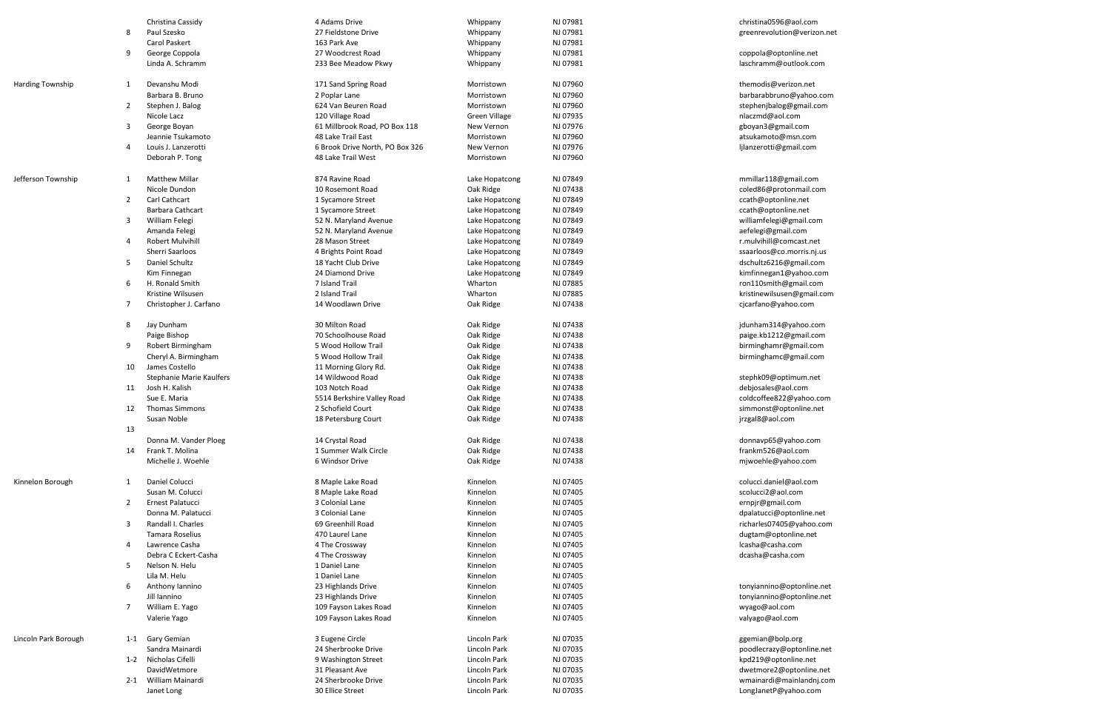|                         |                | Christina Cassidy               | 4 Adams Drive                   | Whippany             | NJ 07981 | christina0596@aol.com       |
|-------------------------|----------------|---------------------------------|---------------------------------|----------------------|----------|-----------------------------|
|                         | 8              | Paul Szesko                     | 27 Fieldstone Drive             | Whippany             | NJ 07981 | greenrevolution@verizon.net |
|                         |                | <b>Carol Paskert</b>            | 163 Park Ave                    | Whippany             | NJ 07981 |                             |
|                         | 9              | George Coppola                  | 27 Woodcrest Road               | Whippany             | NJ 07981 | coppola@optonline.net       |
|                         |                | Linda A. Schramm                | 233 Bee Meadow Pkwy             | Whippany             | NJ 07981 | laschramm@outlook.com       |
|                         |                |                                 |                                 |                      |          |                             |
| <b>Harding Township</b> | 1              | Devanshu Modi                   | 171 Sand Spring Road            | Morristown           | NJ 07960 | themodis@verizon.net        |
|                         |                | Barbara B. Bruno                | 2 Poplar Lane                   | Morristown           | NJ 07960 | barbarabbruno@yahoo.com     |
|                         | 2              | Stephen J. Balog                | 624 Van Beuren Road             | Morristown           | NJ 07960 | stephenjbalog@gmail.com     |
|                         |                | Nicole Lacz                     | 120 Village Road                | <b>Green Village</b> | NJ 07935 | nlaczmd@aol.com             |
|                         | 3              | George Boyan                    | 61 Millbrook Road, PO Box 118   | New Vernon           | NJ 07976 | gboyan3@gmail.com           |
|                         |                | Jeannie Tsukamoto               | 48 Lake Trail East              | Morristown           | NJ 07960 | atsukamoto@msn.com          |
|                         | 4              | Louis J. Lanzerotti             | 6 Brook Drive North, PO Box 326 | New Vernon           | NJ 07976 | ljlanzerotti@gmail.com      |
|                         |                | Deborah P. Tong                 | 48 Lake Trail West              | Morristown           | NJ 07960 |                             |
|                         |                |                                 |                                 |                      |          |                             |
| Jefferson Township      | 1              | <b>Matthew Millar</b>           | 874 Ravine Road                 | Lake Hopatcong       | NJ 07849 | mmillar118@gmail.com        |
|                         |                | Nicole Dundon                   | 10 Rosemont Road                | Oak Ridge            | NJ 07438 | coled86@protonmail.com      |
|                         | $\overline{2}$ | <b>Carl Cathcart</b>            | 1 Sycamore Street               | Lake Hopatcong       | NJ 07849 | ccath@optonline.net         |
|                         |                | <b>Barbara Cathcart</b>         | 1 Sycamore Street               | Lake Hopatcong       | NJ 07849 | ccath@optonline.net         |
|                         | 3              | William Felegi                  | 52 N. Maryland Avenue           | Lake Hopatcong       | NJ 07849 | williamfelegi@gmail.com     |
|                         |                | Amanda Felegi                   | 52 N. Maryland Avenue           | Lake Hopatcong       | NJ 07849 | aefelegi@gmail.com          |
|                         | 4              | <b>Robert Mulvihill</b>         | 28 Mason Street                 | Lake Hopatcong       | NJ 07849 | r.mulvihill@comcast.net     |
|                         |                | Sherri Saarloos                 |                                 |                      | NJ 07849 |                             |
|                         | 5              | Daniel Schultz                  | 4 Brights Point Road            | Lake Hopatcong       |          | ssaarloos@co.morris.nj.us   |
|                         |                |                                 | 18 Yacht Club Drive             | Lake Hopatcong       | NJ 07849 | dschultz6216@gmail.com      |
|                         | 6              | Kim Finnegan<br>H. Ronald Smith | 24 Diamond Drive                | Lake Hopatcong       | NJ 07849 | kimfinnegan1@yahoo.com      |
|                         |                |                                 | 7 Island Trail                  | Wharton              | NJ 07885 | ron110smith@gmail.com       |
|                         |                | Kristine Wilsusen               | 2 Island Trail                  | Wharton              | NJ 07885 | kristinewilsusen@gmail.com  |
|                         | 7              | Christopher J. Carfano          | 14 Woodlawn Drive               | Oak Ridge            | NJ 07438 | cjcarfano@yahoo.com         |
|                         |                |                                 |                                 |                      |          |                             |
|                         | 8              | Jay Dunham                      | 30 Milton Road                  | Oak Ridge            | NJ 07438 | jdunham314@yahoo.com        |
|                         |                | Paige Bishop                    | 70 Schoolhouse Road             | Oak Ridge            | NJ 07438 | paige.kb1212@gmail.com      |
|                         | 9              | Robert Birmingham               | 5 Wood Hollow Trail             | Oak Ridge            | NJ 07438 | birminghamr@gmail.com       |
|                         |                | Cheryl A. Birmingham            | 5 Wood Hollow Trail             | Oak Ridge            | NJ 07438 | birminghamc@gmail.com       |
|                         | 10             | James Costello                  | 11 Morning Glory Rd.            | Oak Ridge            | NJ 07438 |                             |
|                         |                | <b>Stephanie Marie Kaulfers</b> | 14 Wildwood Road                | Oak Ridge            | NJ 07438 | stephk09@optimum.net        |
|                         | 11             | Josh H. Kalish                  | 103 Notch Road                  | Oak Ridge            | NJ 07438 | debjosales@aol.com          |
|                         |                | Sue E. Maria                    | 5514 Berkshire Valley Road      | Oak Ridge            | NJ 07438 | coldcoffee822@yahoo.com     |
|                         | 12             | <b>Thomas Simmons</b>           | 2 Schofield Court               | Oak Ridge            | NJ 07438 | simmonst@optonline.net      |
|                         |                | Susan Noble                     | 18 Petersburg Court             | Oak Ridge            | NJ 07438 | jrzgal8@aol.com             |
|                         | 13             |                                 |                                 |                      |          |                             |
|                         |                | Donna M. Vander Ploeg           | 14 Crystal Road                 | Oak Ridge            | NJ 07438 | donnavp65@yahoo.com         |
|                         | 14             | Frank T. Molina                 | 1 Summer Walk Circle            | Oak Ridge            | NJ 07438 | frankm526@aol.com           |
|                         |                | Michelle J. Woehle              | 6 Windsor Drive                 | Oak Ridge            | NJ 07438 | mjwoehle@yahoo.com          |
|                         |                |                                 |                                 |                      |          |                             |
| Kinnelon Borough        | 1              | Daniel Colucci                  | 8 Maple Lake Road               | Kinnelon             | NJ 07405 | colucci.daniel@aol.com      |
|                         |                | Susan M. Colucci                | 8 Maple Lake Road               | Kinnelon             | NJ 07405 | scolucci2@aol.com           |
|                         | $\overline{2}$ | Ernest Palatucci                | 3 Colonial Lane                 | Kinnelon             | NJ 07405 | ernpjr@gmail.com            |
|                         |                | Donna M. Palatucci              | 3 Colonial Lane                 | Kinnelon             | NJ 07405 | dpalatucci@optonline.net    |
|                         | 3              | Randall I. Charles              | 69 Greenhill Road               | Kinnelon             | NJ 07405 | richarles07405@yahoo.com    |
|                         |                | <b>Tamara Roselius</b>          | 470 Laurel Lane                 | Kinnelon             | NJ 07405 | dugtam@optonline.net        |
|                         | 4              | Lawrence Casha                  | 4 The Crossway                  | Kinnelon             | NJ 07405 | lcasha@casha.com            |
|                         |                | Debra C Eckert-Casha            | 4 The Crossway                  | Kinnelon             | NJ 07405 | dcasha@casha.com            |
|                         | 5              | Nelson N. Helu                  | 1 Daniel Lane                   | Kinnelon             | NJ 07405 |                             |
|                         |                | Lila M. Helu                    | 1 Daniel Lane                   | Kinnelon             | NJ 07405 |                             |
|                         | 6              | Anthony Iannino                 | 23 Highlands Drive              | Kinnelon             | NJ 07405 | tonyiannino@optonline.net   |
|                         |                | Jill Iannino                    | 23 Highlands Drive              | Kinnelon             | NJ 07405 | tonyiannino@optonline.net   |
|                         | 7              | William E. Yago                 | 109 Fayson Lakes Road           | Kinnelon             | NJ 07405 | wyago@aol.com               |
|                         |                | Valerie Yago                    | 109 Fayson Lakes Road           | Kinnelon             | NJ 07405 | valyago@aol.com             |
|                         |                |                                 |                                 |                      |          |                             |
| Lincoln Park Borough    |                | 1-1 Gary Gemian                 | 3 Eugene Circle                 | Lincoln Park         | NJ 07035 | ggemian@bolp.org            |
|                         |                | Sandra Mainardi                 | 24 Sherbrooke Drive             | Lincoln Park         | NJ 07035 | poodlecrazy@optonline.net   |
|                         | $1 - 2$        | Nicholas Cifelli                | 9 Washington Street             | Lincoln Park         | NJ 07035 | kpd219@optonline.net        |
|                         |                | DavidWetmore                    | 31 Pleasant Ave                 | Lincoln Park         | NJ 07035 | dwetmore2@optonline.net     |
|                         | $2 - 1$        | William Mainardi                | 24 Sherbrooke Drive             | Lincoln Park         | NJ 07035 | wmainardi@mainlandnj.com    |
|                         |                | Janet Long                      | 30 Ellice Street                | Lincoln Park         | NJ 07035 | LongJanetP@yahoo.com        |
|                         |                |                                 |                                 |                      |          |                             |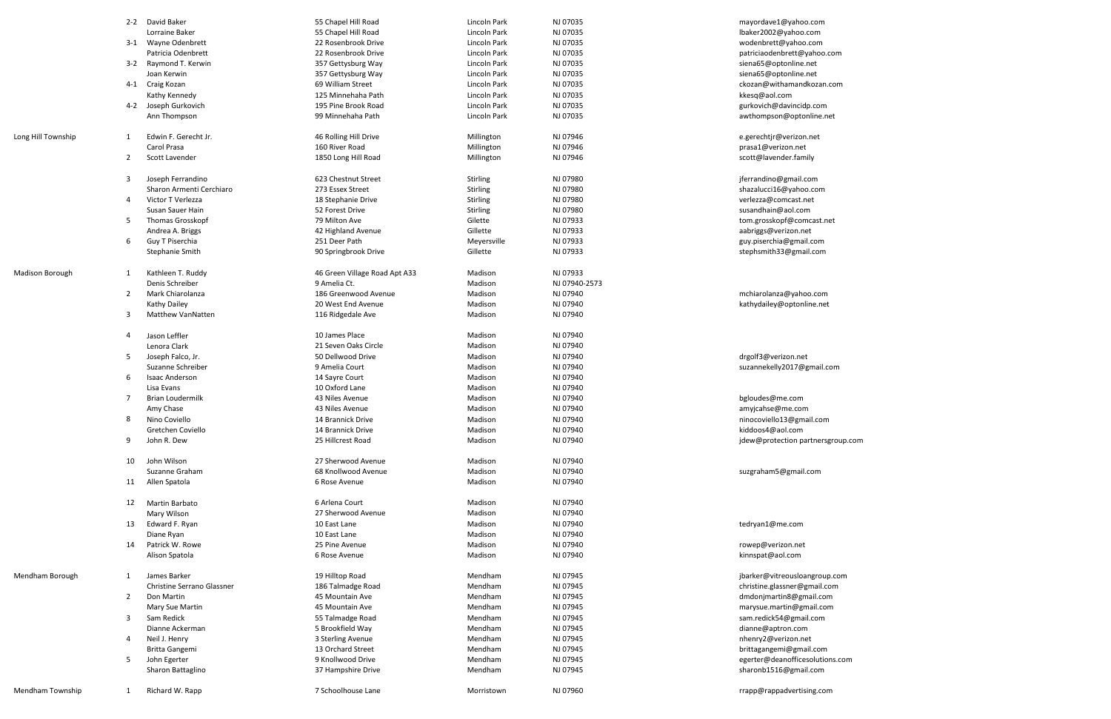|                        |                | 2-2 David Baker                   | 55 Chapel Hill Road                           | Lincoln Park | NJ 07035      | mayordave1@yahoo.com              |
|------------------------|----------------|-----------------------------------|-----------------------------------------------|--------------|---------------|-----------------------------------|
|                        |                | Lorraine Baker                    | 55 Chapel Hill Road                           | Lincoln Park | NJ 07035      | lbaker2002@yahoo.com              |
|                        |                | 3-1 Wayne Odenbrett               | 22 Rosenbrook Drive                           | Lincoln Park | NJ 07035      | wodenbrett@yahoo.com              |
|                        |                | Patricia Odenbrett                | 22 Rosenbrook Drive                           | Lincoln Park | NJ 07035      | patriciaodenbrett@yahoo.com       |
|                        |                | 3-2 Raymond T. Kerwin             | 357 Gettysburg Way                            | Lincoln Park | NJ 07035      | siena65@optonline.net             |
|                        |                | Joan Kerwin                       | 357 Gettysburg Way                            | Lincoln Park | NJ 07035      | siena65@optonline.net             |
|                        |                | 4-1 Craig Kozan                   | 69 William Street                             | Lincoln Park | NJ 07035      | ckozan@withamandkozan.com         |
|                        |                | Kathy Kennedy                     | 125 Minnehaha Path                            | Lincoln Park | NJ 07035      | kkesq@aol.com                     |
|                        |                | 4-2 Joseph Gurkovich              | 195 Pine Brook Road                           | Lincoln Park | NJ 07035      | gurkovich@davincidp.com           |
|                        |                | Ann Thompson                      | 99 Minnehaha Path                             | Lincoln Park | NJ 07035      | awthompson@optonline.net          |
|                        |                |                                   |                                               |              |               |                                   |
| Long Hill Township     | 1              | Edwin F. Gerecht Jr.              | 46 Rolling Hill Drive                         | Millington   | NJ 07946      | e.gerechtjr@verizon.net           |
|                        |                | Carol Prasa                       | 160 River Road                                | Millington   | NJ 07946      | prasa1@verizon.net                |
|                        | $\overline{2}$ | Scott Lavender                    | 1850 Long Hill Road                           | Millington   | NJ 07946      | scott@lavender.family             |
|                        |                |                                   |                                               |              |               |                                   |
|                        | 3              | Joseph Ferrandino                 | 623 Chestnut Street                           | Stirling     | NJ 07980      | jferrandino@gmail.com             |
|                        |                | Sharon Armenti Cerchiaro          | 273 Essex Street                              | Stirling     | NJ 07980      | shazalucci16@yahoo.com            |
|                        | 4              | Victor T Verlezza                 | 18 Stephanie Drive                            | Stirling     | NJ 07980      | verlezza@comcast.net              |
|                        |                | Susan Sauer Hain                  | 52 Forest Drive                               | Stirling     | NJ 07980      | susandhain@aol.com                |
|                        | 5              | Thomas Grosskopf                  | 79 Milton Ave                                 | Gilette      | NJ 07933      | tom.grosskopf@comcast.net         |
|                        |                | Andrea A. Briggs                  | 42 Highland Avenue                            | Gillette     | NJ 07933      | aabriggs@verizon.net              |
|                        | 6              | Guy T Piserchia                   | 251 Deer Path                                 | Meyersville  | NJ 07933      | guy.piserchia@gmail.com           |
|                        |                | <b>Stephanie Smith</b>            | 90 Springbrook Drive                          | Gillette     | NJ 07933      | stephsmith33@gmail.com            |
|                        |                |                                   |                                               |              |               |                                   |
| <b>Madison Borough</b> | 1              | Kathleen T. Ruddy                 |                                               | Madison      | NJ 07933      |                                   |
|                        |                | Denis Schreiber                   | 46 Green Village Road Apt A33<br>9 Amelia Ct. | Madison      | NJ 07940-2573 |                                   |
|                        |                |                                   |                                               |              |               |                                   |
|                        | $\overline{2}$ | Mark Chiarolanza                  | 186 Greenwood Avenue                          | Madison      | NJ 07940      | mchiarolanza@yahoo.com            |
|                        |                | <b>Kathy Dailey</b>               | 20 West End Avenue                            | Madison      | NJ 07940      | kathydailey@optonline.net         |
|                        | 3              | <b>Matthew VanNatten</b>          | 116 Ridgedale Ave                             | Madison      | NJ 07940      |                                   |
|                        | 4              |                                   | 10 James Place                                | Madison      | NJ 07940      |                                   |
|                        |                | Jason Leffler                     | 21 Seven Oaks Circle                          |              |               |                                   |
|                        |                | Lenora Clark                      | 50 Dellwood Drive                             | Madison      | NJ 07940      |                                   |
|                        | 5              | Joseph Falco, Jr.                 |                                               | Madison      | NJ 07940      | drgolf3@verizon.net               |
|                        |                | Suzanne Schreiber                 | 9 Amelia Court                                | Madison      | NJ 07940      | suzannekelly2017@gmail.com        |
|                        | 6              | <b>Isaac Anderson</b>             | 14 Sayre Court                                | Madison      | NJ 07940      |                                   |
|                        |                | Lisa Evans                        | 10 Oxford Lane                                | Madison      | NJ 07940      |                                   |
|                        | 7              | Brian Loudermilk                  | 43 Niles Avenue                               | Madison      | NJ 07940      | bgloudes@me.com                   |
|                        |                | Amy Chase                         | 43 Niles Avenue                               | Madison      | NJ 07940      | amyjcahse@me.com                  |
|                        | 8              | Nino Coviello                     | 14 Brannick Drive                             | Madison      | NJ 07940      | ninocoviello13@gmail.com          |
|                        |                | Gretchen Coviello                 | 14 Brannick Drive                             | Madison      | NJ 07940      | kiddoos4@aol.com                  |
|                        | 9              | John R. Dew                       | 25 Hillcrest Road                             | Madison      | NJ 07940      | jdew@protection partnersgroup.com |
|                        |                |                                   |                                               |              |               |                                   |
|                        | 10             | John Wilson                       | 27 Sherwood Avenue                            | Madison      | NJ 07940      |                                   |
|                        |                | Suzanne Graham                    | 68 Knollwood Avenue                           | Madison      | NJ 07940      | suzgraham5@gmail.com              |
|                        | 11             | Allen Spatola                     | 6 Rose Avenue                                 | Madison      | NJ 07940      |                                   |
|                        |                |                                   |                                               |              |               |                                   |
|                        | 12             | Martin Barbato                    | 6 Arlena Court                                | Madison      | NJ 07940      |                                   |
|                        |                | Mary Wilson                       | 27 Sherwood Avenue                            | Madison      | NJ 07940      |                                   |
|                        | 13             | Edward F. Ryan                    | 10 East Lane                                  | Madison      | NJ 07940      | tedryan1@me.com                   |
|                        |                | Diane Ryan                        | 10 East Lane                                  | Madison      | NJ 07940      |                                   |
|                        | 14             | Patrick W. Rowe                   | 25 Pine Avenue                                | Madison      | NJ 07940      | rowep@verizon.net                 |
|                        |                | Alison Spatola                    | 6 Rose Avenue                                 | Madison      | NJ 07940      | kinnspat@aol.com                  |
|                        |                |                                   |                                               |              |               |                                   |
| Mendham Borough        | 1              | James Barker                      | 19 Hilltop Road                               | Mendham      | NJ 07945      | jbarker@vitreousloangroup.com     |
|                        |                | <b>Christine Serrano Glassner</b> | 186 Talmadge Road                             | Mendham      | NJ 07945      | christine.glassner@gmail.com      |
|                        | $\overline{2}$ | Don Martin                        | 45 Mountain Ave                               | Mendham      | NJ 07945      | dmdonjmartin8@gmail.com           |
|                        |                | Mary Sue Martin                   | 45 Mountain Ave                               | Mendham      | NJ 07945      | marysue.martin@gmail.com          |
|                        | 3              | Sam Redick                        | 55 Talmadge Road                              | Mendham      | NJ 07945      | sam.redick54@gmail.com            |
|                        |                | Dianne Ackerman                   | 5 Brookfield Way                              | Mendham      | NJ 07945      | dianne@aptron.com                 |
|                        | 4              | Neil J. Henry                     | 3 Sterling Avenue                             | Mendham      | NJ 07945      | nhenry2@verizon.net               |
|                        |                | <b>Britta Gangemi</b>             | 13 Orchard Street                             | Mendham      | NJ 07945      | brittagangemi@gmail.com           |
|                        | 5              | John Egerter                      | 9 Knollwood Drive                             | Mendham      | NJ 07945      | egerter@deanofficesolutions.com   |
|                        |                | Sharon Battaglino                 | 37 Hampshire Drive                            | Mendham      | NJ 07945      | sharonb1516@gmail.com             |
|                        |                |                                   |                                               |              |               |                                   |
| Mendham Township       | $\mathbf{1}$   | Richard W. Rapp                   | 7 Schoolhouse Lane                            | Morristown   | NJ 07960      | rrapp@rappadvertising.com         |
|                        |                |                                   |                                               |              |               |                                   |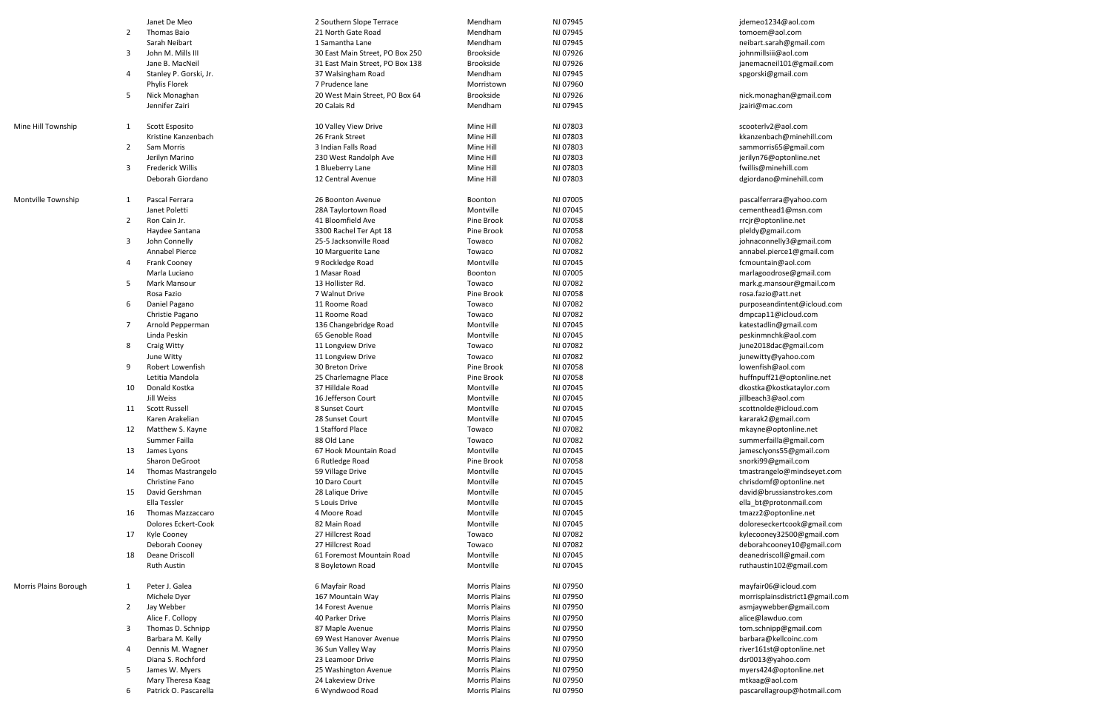|                       |                | Janet De Meo           | 2 Southern Slope Terrace                 | Mendham              | NJ 07945 | jdemeo1234@aol.com                                    |
|-----------------------|----------------|------------------------|------------------------------------------|----------------------|----------|-------------------------------------------------------|
|                       | $\overline{2}$ | <b>Thomas Baio</b>     | 21 North Gate Road                       | Mendham              | NJ 07945 | tomoem@aol.com                                        |
|                       |                | Sarah Neibart          | 1 Samantha Lane                          | Mendham              | NJ 07945 | neibart.sarah@gmail.com                               |
|                       | 3              | John M. Mills III      | 30 East Main Street, PO Box 250          | <b>Brookside</b>     | NJ 07926 | johnmillsiii@aol.com                                  |
|                       |                | Jane B. MacNeil        | 31 East Main Street, PO Box 138          | <b>Brookside</b>     | NJ 07926 | janemacneil101@gmail.com                              |
|                       | 4              | Stanley P. Gorski, Jr. | 37 Walsingham Road                       | Mendham              | NJ 07945 | spgorski@gmail.com                                    |
|                       |                | Phylis Florek          | 7 Prudence lane                          | Morristown           | NJ 07960 |                                                       |
|                       | 5              | Nick Monaghan          | 20 West Main Street, PO Box 64           | <b>Brookside</b>     | NJ 07926 | nick.monaghan@gmail.com                               |
|                       |                | Jennifer Zairi         | 20 Calais Rd                             | Mendham              | NJ 07945 | jzairi@mac.com                                        |
|                       |                |                        |                                          |                      |          |                                                       |
| Mine Hill Township    | 1              | Scott Esposito         | 10 Valley View Drive                     | Mine Hill            | NJ 07803 | scooterlv2@aol.com                                    |
|                       |                | Kristine Kanzenbach    | 26 Frank Street                          | Mine Hill            | NJ 07803 | kkanzenbach@minehill.com                              |
|                       | 2              | Sam Morris             | 3 Indian Falls Road                      | Mine Hill            | NJ 07803 | sammorris65@gmail.com                                 |
|                       |                | Jerilyn Marino         | 230 West Randolph Ave                    | Mine Hill            | NJ 07803 | jerilyn76@optonline.net                               |
|                       | 3              | Frederick Willis       | 1 Blueberry Lane                         | Mine Hill            | NJ 07803 | fwillis@minehill.com                                  |
|                       |                | Deborah Giordano       | 12 Central Avenue                        | Mine Hill            | NJ 07803 | dgiordano@minehill.com                                |
|                       |                |                        |                                          |                      |          |                                                       |
| Montville Township    | 1              | Pascal Ferrara         | 26 Boonton Avenue                        | Boonton              | NJ 07005 | pascalferrara@yahoo.com                               |
|                       |                | Janet Poletti          | 28A Taylortown Road                      | Montville            | NJ 07045 | cementhead1@msn.com                                   |
|                       | $\overline{2}$ | Ron Cain Jr.           | 41 Bloomfield Ave                        | Pine Brook           | NJ 07058 | rrcjr@optonline.net                                   |
|                       |                | Haydee Santana         | 3300 Rachel Ter Apt 18                   | Pine Brook           | NJ 07058 | pleldy@gmail.com                                      |
|                       | 3              | John Connelly          | 25-5 Jacksonville Road                   | Towaco               | NJ 07082 | johnaconnelly3@gmail.com                              |
|                       |                | Annabel Pierce         | 10 Marguerite Lane                       | Towaco               | NJ 07082 | annabel.pierce1@gmail.com                             |
|                       | 4              | <b>Frank Cooney</b>    | 9 Rockledge Road                         | Montville            | NJ 07045 | fcmountain@aol.com                                    |
|                       |                | Marla Luciano          | 1 Masar Road                             | Boonton              | NJ 07005 | marlagoodrose@gmail.com                               |
|                       | 5              | Mark Mansour           | 13 Hollister Rd.                         | Towaco               | NJ 07082 | mark.g.mansour@gmail.com                              |
|                       |                | Rosa Fazio             | 7 Walnut Drive                           | Pine Brook           | NJ 07058 | rosa.fazio@att.net                                    |
|                       | 6              | Daniel Pagano          | 11 Roome Road                            | Towaco               | NJ 07082 | purposeandintent@icloud.com                           |
|                       |                | Christie Pagano        | 11 Roome Road                            | Towaco               | NJ 07082 | dmpcap11@icloud.com                                   |
|                       | 7              | Arnold Pepperman       | 136 Changebridge Road                    | Montville            | NJ 07045 | katestadlin@gmail.com                                 |
|                       |                | Linda Peskin           | 65 Genoble Road                          | Montville            | NJ 07045 | peskinmnchk@aol.com                                   |
|                       | 8              | <b>Craig Witty</b>     | 11 Longview Drive                        | Towaco               | NJ 07082 | june2018dac@gmail.com                                 |
|                       |                | June Witty             | 11 Longview Drive                        | Towaco               | NJ 07082 | junewitty@yahoo.com                                   |
|                       | 9              | Robert Lowenfish       | 30 Breton Drive                          | Pine Brook           | NJ 07058 | lowenfish@aol.com                                     |
|                       |                | Letitia Mandola        |                                          | Pine Brook           | NJ 07058 |                                                       |
|                       | 10             | Donald Kostka          | 25 Charlemagne Place<br>37 Hilldale Road | Montville            | NJ 07045 | huffnpuff21@optonline.net<br>dkostka@kostkataylor.com |
|                       |                | Jill Weiss             | 16 Jefferson Court                       | Montville            | NJ 07045 |                                                       |
|                       | 11             | <b>Scott Russell</b>   | 8 Sunset Court                           | Montville            | NJ 07045 | jillbeach3@aol.com<br>scottnolde@icloud.com           |
|                       |                |                        |                                          |                      |          |                                                       |
|                       |                | Karen Arakelian        | 28 Sunset Court                          | Montville            | NJ 07045 | kararak2@gmail.com                                    |
|                       | 12             | Matthew S. Kayne       | 1 Stafford Place                         | Towaco               | NJ 07082 | mkayne@optonline.net                                  |
|                       |                | Summer Failla          | 88 Old Lane                              | Towaco               | NJ 07082 | summerfailla@gmail.com                                |
|                       | 13             | James Lyons            | 67 Hook Mountain Road                    | Montville            | NJ 07045 | jamesclyons55@gmail.com                               |
|                       |                | <b>Sharon DeGroot</b>  | 6 Rutledge Road                          | Pine Brook           | NJ 07058 | snorki99@gmail.com                                    |
|                       | 14             | Thomas Mastrangelo     | 59 Village Drive                         | Montville            | NJ 07045 | tmastrangelo@mindseyet.com                            |
|                       |                | Christine Fano         | 10 Daro Court                            | Montville            | NJ 07045 | chrisdomf@optonline.net                               |
|                       | 15             | David Gershman         | 28 Lalique Drive                         | Montville            | NJ 07045 | david@brussianstrokes.com                             |
|                       |                | Ella Tessler           | 5 Louis Drive                            | Montville            | NJ 07045 | ella_bt@protonmail.com                                |
|                       | 16             | Thomas Mazzaccaro      | 4 Moore Road                             | Montville            | NJ 07045 | tmazz2@optonline.net                                  |
|                       |                | Dolores Eckert-Cook    | 82 Main Road                             | Montville            | NJ 07045 | doloreseckertcook@gmail.com                           |
|                       | 17             | Kyle Cooney            | 27 Hillcrest Road                        | Towaco               | NJ 07082 | kylecooney32500@gmail.com                             |
|                       |                | Deborah Cooney         | 27 Hillcrest Road                        | Towaco               | NJ 07082 | deborahcooney10@gmail.com                             |
|                       | 18             | Deane Driscoll         | 61 Foremost Mountain Road                | Montville            | NJ 07045 | deanedriscoll@gmail.com                               |
|                       |                | <b>Ruth Austin</b>     | 8 Boyletown Road                         | Montville            | NJ 07045 | ruthaustin102@gmail.com                               |
|                       |                |                        |                                          |                      |          |                                                       |
| Morris Plains Borough | 1              | Peter J. Galea         | 6 Mayfair Road                           | <b>Morris Plains</b> | NJ 07950 | mayfair06@icloud.com                                  |
|                       |                | Michele Dyer           | 167 Mountain Way                         | Morris Plains        | NJ 07950 | morrisplainsdistrict1@gmail.com                       |
|                       | 2              | Jay Webber             | 14 Forest Avenue                         | <b>Morris Plains</b> | NJ 07950 | asmjaywebber@gmail.com                                |
|                       |                | Alice F. Collopy       | 40 Parker Drive                          | <b>Morris Plains</b> | NJ 07950 | alice@lawduo.com                                      |
|                       | 3              | Thomas D. Schnipp      | 87 Maple Avenue                          | Morris Plains        | NJ 07950 | tom.schnipp@gmail.com                                 |
|                       |                | Barbara M. Kelly       | 69 West Hanover Avenue                   | Morris Plains        | NJ 07950 | barbara@kellcoinc.com                                 |
|                       | 4              | Dennis M. Wagner       | 36 Sun Valley Way                        | Morris Plains        | NJ 07950 | river161st@optonline.net                              |
|                       |                | Diana S. Rochford      | 23 Leamoor Drive                         | Morris Plains        | NJ 07950 | dsr0013@yahoo.com                                     |
|                       | 5              | James W. Myers         | 25 Washington Avenue                     | Morris Plains        | NJ 07950 | myers424@optonline.net                                |
|                       |                | Mary Theresa Kaag      | 24 Lakeview Drive                        | Morris Plains        | NJ 07950 | mtkaag@aol.com                                        |
|                       | 6              | Patrick O. Pascarella  | 6 Wyndwood Road                          | <b>Morris Plains</b> | NJ 07950 | pascarellagroup@hotmail.com                           |
|                       |                |                        |                                          |                      |          |                                                       |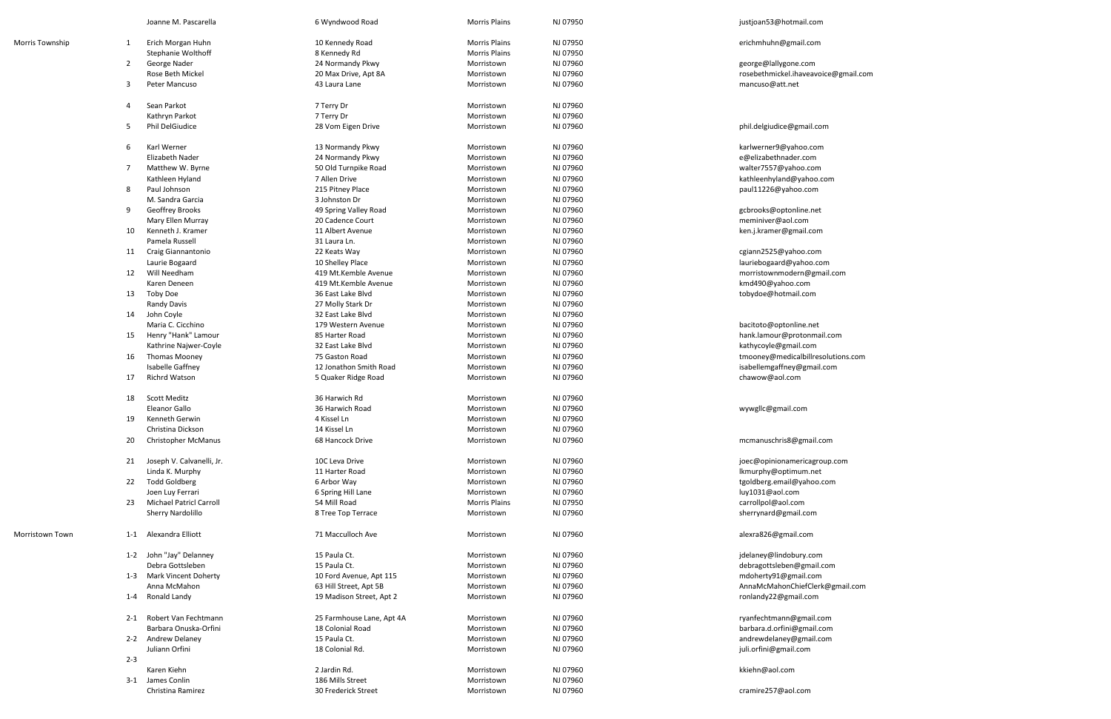|                        |         | Joanne M. Pascarella                | 6 Wyndwood Road                       | <b>Morris Plains</b>     | NJ 07950             | justjoan53@hotmail.com               |
|------------------------|---------|-------------------------------------|---------------------------------------|--------------------------|----------------------|--------------------------------------|
| <b>Morris Township</b> | 1       | Erich Morgan Huhn                   | 10 Kennedy Road                       | <b>Morris Plains</b>     | NJ 07950             | erichmhuhn@gmail.com                 |
|                        |         | Stephanie Wolthoff                  | 8 Kennedy Rd                          | <b>Morris Plains</b>     | NJ 07950             |                                      |
|                        | 2       | George Nader                        | 24 Normandy Pkwy                      | Morristown               | NJ 07960             | george@lallygone.com                 |
|                        |         | Rose Beth Mickel                    | 20 Max Drive, Apt 8A                  | Morristown               | NJ 07960             | rosebethmickel.ihaveavoice@gmail.com |
|                        | 3       | Peter Mancuso                       | 43 Laura Lane                         | Morristown               | NJ 07960             | mancuso@att.net                      |
|                        |         |                                     |                                       |                          |                      |                                      |
|                        | 4       | Sean Parkot                         | 7 Terry Dr                            | Morristown               | NJ 07960             |                                      |
|                        |         | Kathryn Parkot                      | 7 Terry Dr                            | Morristown               | NJ 07960             |                                      |
|                        | 5       | <b>Phil DelGiudice</b>              | 28 Vom Eigen Drive                    | Morristown               | NJ 07960             | phil.delgiudice@gmail.com            |
|                        |         |                                     |                                       |                          |                      |                                      |
|                        | 6       | Karl Werner<br>Elizabeth Nader      | 13 Normandy Pkwy                      | Morristown               | NJ 07960<br>NJ 07960 | karlwerner9@yahoo.com                |
|                        |         |                                     | 24 Normandy Pkwy                      | Morristown               |                      | e@elizabethnader.com                 |
|                        | 7       | Matthew W. Byrne                    | 50 Old Turnpike Road<br>7 Allen Drive | Morristown<br>Morristown | NJ 07960<br>NJ 07960 | walter7557@yahoo.com                 |
|                        |         | Kathleen Hyland<br>Paul Johnson     |                                       |                          |                      | kathleenhyland@yahoo.com             |
|                        | 8       | M. Sandra Garcia                    | 215 Pitney Place<br>3 Johnston Dr     | Morristown               | NJ 07960             | paul11226@yahoo.com                  |
|                        | 9       |                                     |                                       | Morristown               | NJ 07960             |                                      |
|                        |         | <b>Geoffrey Brooks</b>              | 49 Spring Valley Road                 | Morristown               | NJ 07960<br>NJ 07960 | gcbrooks@optonline.net               |
|                        |         | Mary Ellen Murray                   | 20 Cadence Court                      | Morristown               |                      | meminiver@aol.com                    |
|                        | 10      | Kenneth J. Kramer<br>Pamela Russell | 11 Albert Avenue                      | Morristown               | NJ 07960             | ken.j.kramer@gmail.com               |
|                        |         |                                     | 31 Laura Ln.                          | Morristown               | NJ 07960             |                                      |
|                        | 11      | Craig Giannantonio                  | 22 Keats Way                          | Morristown               | NJ 07960             | cgiann2525@yahoo.com                 |
|                        |         | Laurie Bogaard                      | 10 Shelley Place                      | Morristown               | NJ 07960             | lauriebogaard@yahoo.com              |
|                        | 12      | Will Needham                        | 419 Mt.Kemble Avenue                  | Morristown               | NJ 07960             | morristownmodern@gmail.com           |
|                        |         | Karen Deneen                        | 419 Mt.Kemble Avenue                  | Morristown               | NJ 07960             | kmd490@yahoo.com                     |
|                        | 13      | Toby Doe                            | 36 East Lake Blvd                     | Morristown               | NJ 07960             | tobydoe@hotmail.com                  |
|                        |         | Randy Davis                         | 27 Molly Stark Dr                     | Morristown               | NJ 07960             |                                      |
|                        | 14      | John Coyle                          | 32 East Lake Blvd                     | Morristown               | NJ 07960             |                                      |
|                        |         | Maria C. Cicchino                   | 179 Western Avenue                    | Morristown               | NJ 07960             | bacitoto@optonline.net               |
|                        | 15      | Henry "Hank" Lamour                 | 85 Harter Road                        | Morristown               | NJ 07960             | hank.lamour@protonmail.com           |
|                        |         | Kathrine Najwer-Coyle               | 32 East Lake Blvd                     | Morristown               | NJ 07960             | kathycoyle@gmail.com                 |
|                        | 16      | <b>Thomas Mooney</b>                | 75 Gaston Road                        | Morristown               | NJ 07960             | tmooney@medicalbillresolutions.com   |
|                        |         | Isabelle Gaffney                    | 12 Jonathon Smith Road                | Morristown               | NJ 07960             | isabellemgaffney@gmail.com           |
|                        | 17      | <b>Richrd Watson</b>                | 5 Quaker Ridge Road                   | Morristown               | NJ 07960             | chawow@aol.com                       |
|                        | 18      | Scott Meditz                        | 36 Harwich Rd                         | Morristown               | NJ 07960             |                                      |
|                        |         | Eleanor Gallo                       | 36 Harwich Road                       | Morristown               | NJ 07960             | wywgllc@gmail.com                    |
|                        | 19      | Kenneth Gerwin                      | 4 Kissel Ln                           | Morristown               | NJ 07960             |                                      |
|                        |         | Christina Dickson                   | 14 Kissel Ln                          | Morristown               | NJ 07960             |                                      |
|                        | 20      | <b>Christopher McManus</b>          | 68 Hancock Drive                      | Morristown               | NJ 07960             | mcmanuschris8@gmail.com              |
|                        |         |                                     |                                       |                          |                      |                                      |
|                        | 21      | Joseph V. Calvanelli, Jr.           | 10C Leva Drive                        | Morristown               | NJ 07960             | joec@opinionamericagroup.com         |
|                        |         | Linda K. Murphy                     | 11 Harter Road                        | Morristown               | NJ 07960             | lkmurphy@optimum.net                 |
|                        | 22      | <b>Todd Goldberg</b>                | 6 Arbor Way                           | Morristown               | NJ 07960             | tgoldberg.email@yahoo.com            |
|                        |         | Joen Luy Ferrari                    | 6 Spring Hill Lane                    | Morristown               | NJ 07960             | luy1031@aol.com                      |
|                        | 23      | <b>Michael Patricl Carroll</b>      | 54 Mill Road                          | <b>Morris Plains</b>     | NJ 07950             | carrollpol@aol.com                   |
|                        |         | Sherry Nardolillo                   | 8 Tree Top Terrace                    | Morristown               | NJ 07960             | sherrynard@gmail.com                 |
| Morristown Town        | $1 - 1$ | Alexandra Elliott                   | 71 Macculloch Ave                     | Morristown               | NJ 07960             | alexra826@gmail.com                  |
|                        |         | 1-2 John "Jay" Delanney             | 15 Paula Ct.                          | Morristown               | NJ 07960             | jdelaney@lindobury.com               |
|                        |         | Debra Gottsleben                    | 15 Paula Ct.                          | Morristown               | NJ 07960             | debragottsleben@gmail.com            |
|                        |         | 1-3 Mark Vincent Doherty            | 10 Ford Avenue, Apt 115               | Morristown               | NJ 07960             | mdoherty91@gmail.com                 |
|                        |         | Anna McMahon                        | 63 Hill Street, Apt 5B                | Morristown               | NJ 07960             | AnnaMcMahonChiefClerk@gmail.com      |
|                        | 1-4     | Ronald Landy                        | 19 Madison Street, Apt 2              | Morristown               | NJ 07960             | ronlandy22@gmail.com                 |
|                        |         |                                     |                                       |                          |                      |                                      |
|                        |         | 2-1 Robert Van Fechtmann            | 25 Farmhouse Lane, Apt 4A             | Morristown               | NJ 07960             | ryanfechtmann@gmail.com              |
|                        |         | Barbara Onuska-Orfini               | 18 Colonial Road                      | Morristown               | NJ 07960             | barbara.d.orfini@gmail.com           |
|                        |         | 2-2 Andrew Delaney                  | 15 Paula Ct.                          | Morristown               | NJ 07960             | andrewdelaney@gmail.com              |
|                        |         | Juliann Orfini                      | 18 Colonial Rd.                       | Morristown               | NJ 07960             | juli.orfini@gmail.com                |
|                        | $2 - 3$ |                                     |                                       |                          |                      |                                      |
|                        |         | Karen Kiehn                         | 2 Jardin Rd.                          | Morristown               | NJ 07960             | kkiehn@aol.com                       |
|                        |         | 3-1 James Conlin                    | 186 Mills Street                      | Morristown               | NJ 07960             |                                      |
|                        |         | Christina Ramirez                   | 30 Frederick Street                   | Morristown               | NJ 07960             | cramire257@aol.com                   |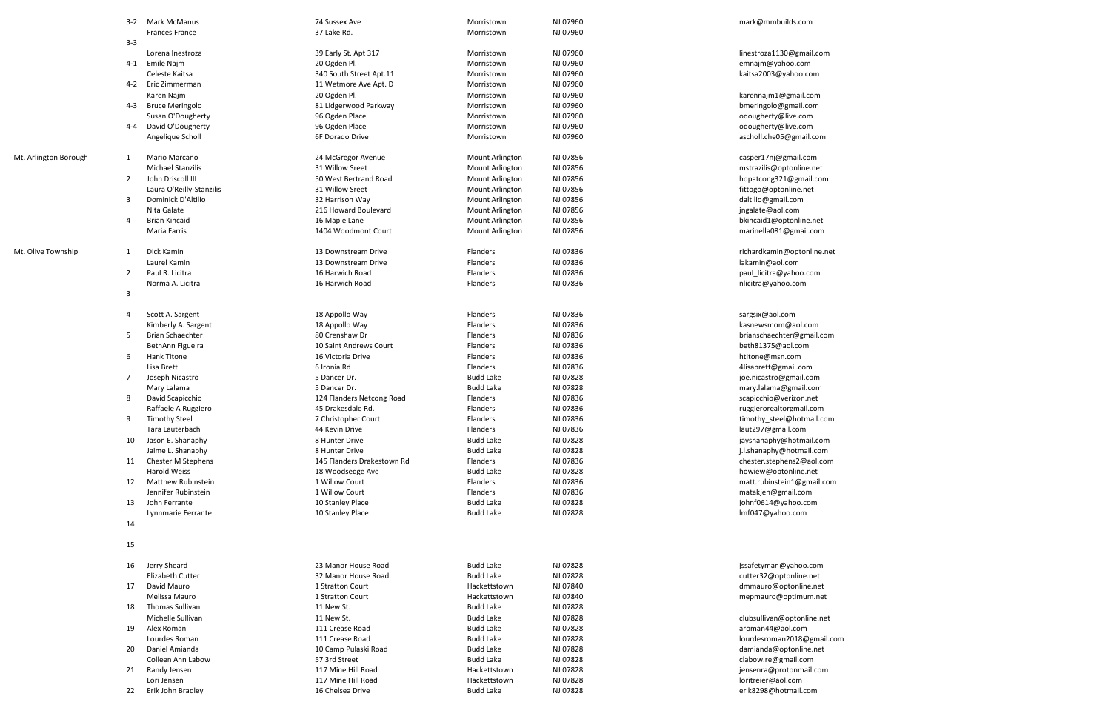|                       | $3 - 2$ | Mark McManus                                | 74 Sussex Ave                        | Morristown                           | NJ 07960             | mark@mmbuilds.com                          |
|-----------------------|---------|---------------------------------------------|--------------------------------------|--------------------------------------|----------------------|--------------------------------------------|
|                       |         | <b>Frances France</b>                       | 37 Lake Rd.                          | Morristown                           | NJ 07960             |                                            |
|                       | $3 - 3$ |                                             |                                      |                                      |                      |                                            |
|                       |         | Lorena Inestroza                            | 39 Early St. Apt 317                 | Morristown                           | NJ 07960             | linestroza1130@gmail.com                   |
|                       | 4-1     | Emile Najm                                  | 20 Ogden Pl.                         | Morristown                           | NJ 07960             | emnajm@yahoo.com                           |
|                       |         | Celeste Kaitsa                              | 340 South Street Apt.11              | Morristown                           | NJ 07960             | kaitsa2003@yahoo.com                       |
|                       | $4 - 2$ | Eric Zimmerman                              | 11 Wetmore Ave Apt. D                | Morristown                           | NJ 07960             |                                            |
|                       |         | Karen Najm                                  | 20 Ogden Pl.                         | Morristown                           | NJ 07960             | karennajm1@gmail.com                       |
|                       | 4-3     | <b>Bruce Meringolo</b><br>Susan O'Dougherty | 81 Lidgerwood Parkway                | Morristown<br>Morristown             | NJ 07960<br>NJ 07960 | bmeringolo@gmail.com                       |
|                       | 4-4     | David O'Dougherty                           | 96 Ogden Place<br>96 Ogden Place     | Morristown                           | NJ 07960             | odougherty@live.com<br>odougherty@live.com |
|                       |         | Angelique Scholl                            | 6F Dorado Drive                      | Morristown                           | NJ 07960             | ascholl.che05@gmail.com                    |
|                       |         |                                             |                                      |                                      |                      |                                            |
| Mt. Arlington Borough | 1       | Mario Marcano                               | 24 McGregor Avenue                   | Mount Arlington                      | NJ 07856             | casper17nj@gmail.com                       |
|                       |         | <b>Michael Stanzilis</b>                    | 31 Willow Sreet                      | Mount Arlington                      | NJ 07856             | mstrazilis@optonline.net                   |
|                       | 2       | John Driscoll III                           | 50 West Bertrand Road                | Mount Arlington                      | NJ 07856             | hopatcong321@gmail.com                     |
|                       |         | Laura O'Reilly-Stanzilis                    | 31 Willow Sreet                      | Mount Arlington                      | NJ 07856             | fittogo@optonline.net                      |
|                       | 3       | Dominick D'Altilio                          | 32 Harrison Way                      | Mount Arlington                      | NJ 07856             | daltilio@gmail.com                         |
|                       |         | Nita Galate                                 | 216 Howard Boulevard                 | Mount Arlington                      | NJ 07856             | jngalate@aol.com                           |
|                       | 4       | <b>Brian Kincaid</b>                        | 16 Maple Lane                        | Mount Arlington                      | NJ 07856             | bkincaid1@optonline.net                    |
|                       |         | Maria Farris                                | 1404 Woodmont Court                  | <b>Mount Arlington</b>               | NJ 07856             | marinella081@gmail.com                     |
|                       |         |                                             |                                      |                                      |                      |                                            |
| Mt. Olive Township    | 1       | Dick Kamin                                  | 13 Downstream Drive                  | <b>Flanders</b>                      | NJ 07836             | richardkamin@optonline.net                 |
|                       |         | Laurel Kamin                                | 13 Downstream Drive                  | Flanders                             | NJ 07836             | lakamin@aol.com                            |
|                       | 2       | Paul R. Licitra                             | 16 Harwich Road                      | Flanders                             | NJ 07836             | paul_licitra@yahoo.com                     |
|                       |         | Norma A. Licitra                            | 16 Harwich Road                      | <b>Flanders</b>                      | NJ 07836             | nlicitra@yahoo.com                         |
|                       | 3       |                                             |                                      |                                      |                      |                                            |
|                       |         | Scott A. Sargent                            |                                      | Flanders                             | NJ 07836             |                                            |
|                       | 4       | Kimberly A. Sargent                         | 18 Appollo Way<br>18 Appollo Way     | Flanders                             | NJ 07836             | sargsix@aol.com<br>kasnewsmom@aol.com      |
|                       | 5       | <b>Brian Schaechter</b>                     | 80 Crenshaw Dr                       | Flanders                             | NJ 07836             | brianschaechter@gmail.com                  |
|                       |         | BethAnn Figueira                            | 10 Saint Andrews Court               | Flanders                             | NJ 07836             | beth81375@aol.com                          |
|                       | 6       | Hank Titone                                 | 16 Victoria Drive                    | <b>Flanders</b>                      | NJ 07836             | htitone@msn.com                            |
|                       |         | Lisa Brett                                  | 6 Ironia Rd                          | Flanders                             | NJ 07836             | 4lisabrett@gmail.com                       |
|                       | 7       | Joseph Nicastro                             | 5 Dancer Dr.                         | <b>Budd Lake</b>                     | NJ 07828             | joe.nicastro@gmail.com                     |
|                       |         | Mary Lalama                                 | 5 Dancer Dr.                         | <b>Budd Lake</b>                     | NJ 07828             | mary.lalama@gmail.com                      |
|                       | 8       | David Scapicchio                            | 124 Flanders Netcong Road            | Flanders                             | NJ 07836             | scapicchio@verizon.net                     |
|                       |         | Raffaele A Ruggiero                         | 45 Drakesdale Rd.                    | <b>Flanders</b>                      | NJ 07836             | ruggierorealtorgmail.com                   |
|                       | 9       | <b>Timothy Steel</b>                        | 7 Christopher Court                  | <b>Flanders</b>                      | NJ 07836             | timothy_steel@hotmail.com                  |
|                       |         | Tara Lauterbach                             | 44 Kevin Drive                       | Flanders                             | NJ 07836             | laut297@gmail.com                          |
|                       | 10      | Jason E. Shanaphy                           | 8 Hunter Drive                       | <b>Budd Lake</b>                     | NJ 07828             | jayshanaphy@hotmail.com                    |
|                       |         | Jaime L. Shanaphy                           | 8 Hunter Drive                       | <b>Budd Lake</b>                     | NJ 07828             | j.l.shanaphy@hotmail.com                   |
|                       | 11      | Chester M Stephens                          | 145 Flanders Drakestown Rd           | Flanders                             | NJ 07836             | chester.stephens2@aol.com                  |
|                       |         | <b>Harold Weiss</b>                         | 18 Woodsedge Ave                     | <b>Budd Lake</b>                     | NJ 07828             | howiew@optonline.net                       |
|                       | 12      | <b>Matthew Rubinstein</b>                   | 1 Willow Court                       | Flanders                             | NJ 07836             | matt.rubinstein1@gmail.com                 |
|                       |         | Jennifer Rubinstein                         | 1 Willow Court                       | Flanders                             | NJ 07836             | matakjen@gmail.com                         |
|                       | 13      | John Ferrante                               | 10 Stanley Place<br>10 Stanley Place | <b>Budd Lake</b><br><b>Budd Lake</b> | NJ 07828<br>NJ 07828 | johnf0614@yahoo.com                        |
|                       | 14      | Lynnmarie Ferrante                          |                                      |                                      |                      | Imf047@yahoo.com                           |
|                       |         |                                             |                                      |                                      |                      |                                            |
|                       | 15      |                                             |                                      |                                      |                      |                                            |
|                       |         |                                             |                                      |                                      |                      |                                            |
|                       | 16      | Jerry Sheard                                | 23 Manor House Road                  | <b>Budd Lake</b>                     | NJ 07828             | jssafetyman@yahoo.com                      |
|                       |         | Elizabeth Cutter                            | 32 Manor House Road                  | <b>Budd Lake</b>                     | NJ 07828             | cutter32@optonline.net                     |
|                       | 17      | David Mauro                                 | 1 Stratton Court                     | Hackettstown                         | NJ 07840             | dmmauro@optonline.net                      |
|                       |         | Melissa Mauro                               | 1 Stratton Court                     | Hackettstown                         | NJ 07840             | mepmauro@optimum.net                       |
|                       | 18      | Thomas Sullivan                             | 11 New St.                           | <b>Budd Lake</b>                     | NJ 07828             |                                            |
|                       |         | Michelle Sullivan                           | 11 New St.                           | <b>Budd Lake</b>                     | NJ 07828             | clubsullivan@optonline.net                 |
|                       | 19      | Alex Roman                                  | 111 Crease Road                      | <b>Budd Lake</b>                     | NJ 07828             | aroman44@aol.com                           |
|                       |         | Lourdes Roman                               | 111 Crease Road                      | <b>Budd Lake</b>                     | NJ 07828             | lourdesroman2018@gmail.com                 |
|                       | 20      | Daniel Amianda                              | 10 Camp Pulaski Road                 | <b>Budd Lake</b>                     | NJ 07828             | damianda@optonline.net                     |
|                       |         | Colleen Ann Labow                           | 57 3rd Street                        | <b>Budd Lake</b>                     | NJ 07828             | clabow.re@gmail.com                        |
|                       | 21      | Randy Jensen                                | 117 Mine Hill Road                   | Hackettstown                         | NJ 07828             | jensenra@protonmail.com                    |
|                       |         | Lori Jensen                                 | 117 Mine Hill Road                   | Hackettstown                         | NJ 07828             | loritreier@aol.com                         |
|                       | 22      | Erik John Bradley                           | 16 Chelsea Drive                     | <b>Budd Lake</b>                     | NJ 07828             | erik8298@hotmail.com                       |
|                       |         |                                             |                                      |                                      |                      |                                            |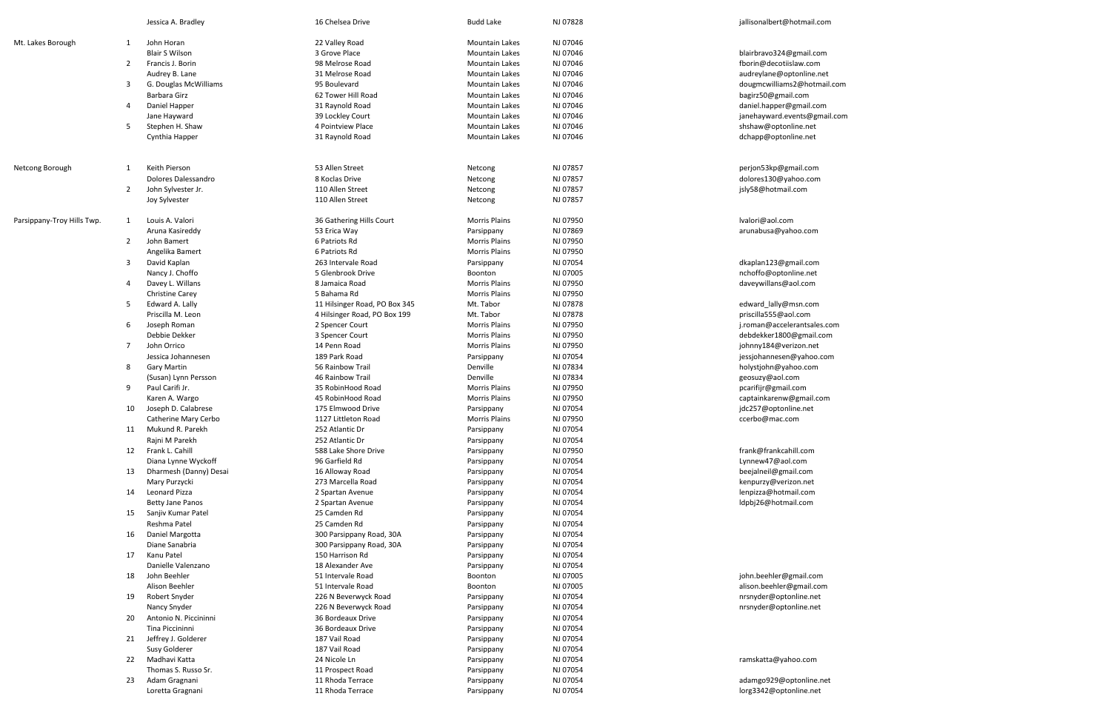|                            |    | Jessica A. Bradley      | 16 Chelsea Drive              | <b>Budd Lake</b>      | NJ 07828 | jallisonalbert@hotmail.com   |
|----------------------------|----|-------------------------|-------------------------------|-----------------------|----------|------------------------------|
| Mt. Lakes Borough          | 1  | John Horan              | 22 Valley Road                | <b>Mountain Lakes</b> | NJ 07046 |                              |
|                            |    | <b>Blair S Wilson</b>   | 3 Grove Place                 | <b>Mountain Lakes</b> | NJ 07046 | blairbravo324@gmail.com      |
|                            | 2  | Francis J. Borin        | 98 Melrose Road               | <b>Mountain Lakes</b> | NJ 07046 | fborin@decotiislaw.com       |
|                            |    | Audrey B. Lane          | 31 Melrose Road               | <b>Mountain Lakes</b> | NJ 07046 | audreylane@optonline.net     |
|                            | 3  | G. Douglas McWilliams   | 95 Boulevard                  | <b>Mountain Lakes</b> | NJ 07046 | dougmcwilliams2@hotmail.com  |
|                            |    | Barbara Girz            | 62 Tower Hill Road            | <b>Mountain Lakes</b> | NJ 07046 | bagirz50@gmail.com           |
|                            | 4  |                         |                               | <b>Mountain Lakes</b> | NJ 07046 |                              |
|                            |    | Daniel Happer           | 31 Raynold Road               |                       |          | daniel.happer@gmail.com      |
|                            |    | Jane Hayward            | 39 Lockley Court              | <b>Mountain Lakes</b> | NJ 07046 | janehayward.events@gmail.com |
|                            | 5  | Stephen H. Shaw         | 4 Pointview Place             | <b>Mountain Lakes</b> | NJ 07046 | shshaw@optonline.net         |
|                            |    | Cynthia Happer          | 31 Raynold Road               | <b>Mountain Lakes</b> | NJ 07046 | dchapp@optonline.net         |
| Netcong Borough            | 1  | Keith Pierson           | 53 Allen Street               | Netcong               | NJ 07857 | perjon53kp@gmail.com         |
|                            |    | Dolores Dalessandro     | 8 Koclas Drive                | Netcong               | NJ 07857 | dolores130@yahoo.com         |
|                            | 2  | John Sylvester Jr.      | 110 Allen Street              | Netcong               | NJ 07857 | jsly58@hotmail.com           |
|                            |    | Joy Sylvester           | 110 Allen Street              | Netcong               | NJ 07857 |                              |
|                            |    |                         |                               |                       |          |                              |
| Parsippany-Troy Hills Twp. | 1  | Louis A. Valori         | 36 Gathering Hills Court      | <b>Morris Plains</b>  | NJ 07950 | lvalori@aol.com              |
|                            |    | Aruna Kasireddy         | 53 Erica Way                  | Parsippany            | NJ 07869 | arunabusa@yahoo.com          |
|                            | 2  | John Bamert             | 6 Patriots Rd                 | <b>Morris Plains</b>  | NJ 07950 |                              |
|                            |    | Angelika Bamert         | 6 Patriots Rd                 | <b>Morris Plains</b>  | NJ 07950 |                              |
|                            | 3  | David Kaplan            | 263 Intervale Road            | Parsippany            | NJ 07054 | dkaplan123@gmail.com         |
|                            |    | Nancy J. Choffo         | 5 Glenbrook Drive             | Boonton               | NJ 07005 | nchoffo@optonline.net        |
|                            | 4  | Davey L. Willans        | 8 Jamaica Road                | <b>Morris Plains</b>  | NJ 07950 | daveywillans@aol.com         |
|                            |    | <b>Christine Carey</b>  | 5 Bahama Rd                   | <b>Morris Plains</b>  | NJ 07950 |                              |
|                            | 5  | Edward A. Lally         | 11 Hilsinger Road, PO Box 345 | Mt. Tabor             | NJ 07878 | edward_lally@msn.com         |
|                            |    | Priscilla M. Leon       | 4 Hilsinger Road, PO Box 199  | Mt. Tabor             | NJ 07878 | priscilla555@aol.com         |
|                            | 6  | Joseph Roman            | 2 Spencer Court               | <b>Morris Plains</b>  | NJ 07950 | j.roman@accelerantsales.com  |
|                            |    | Debbie Dekker           | 3 Spencer Court               | <b>Morris Plains</b>  | NJ 07950 | debdekker1800@gmail.com      |
|                            | 7  | John Orrico             |                               |                       | NJ 07950 |                              |
|                            |    |                         | 14 Penn Road                  | <b>Morris Plains</b>  |          | johnny184@verizon.net        |
|                            |    | Jessica Johannesen      | 189 Park Road                 | Parsippany            | NJ 07054 | jessjohannesen@yahoo.com     |
|                            | 8  | <b>Gary Martin</b>      | 56 Rainbow Trail              | Denville              | NJ 07834 | holystjohn@yahoo.com         |
|                            |    | (Susan) Lynn Persson    | 46 Rainbow Trail              | Denville              | NJ 07834 | geosuzy@aol.com              |
|                            | 9  | Paul Carifi Jr.         | 35 RobinHood Road             | <b>Morris Plains</b>  | NJ 07950 | pcarifijr@gmail.com          |
|                            |    | Karen A. Wargo          | 45 RobinHood Road             | <b>Morris Plains</b>  | NJ 07950 | captainkarenw@gmail.com      |
|                            | 10 | Joseph D. Calabrese     | 175 Elmwood Drive             | Parsippany            | NJ 07054 | jdc257@optonline.net         |
|                            |    | Catherine Mary Cerbo    | 1127 Littleton Road           | <b>Morris Plains</b>  | NJ 07950 | ccerbo@mac.com               |
|                            | 11 | Mukund R. Parekh        | 252 Atlantic Dr               | Parsippany            | NJ 07054 |                              |
|                            |    | Rajni M Parekh          | 252 Atlantic Dr               | Parsippany            | NJ 07054 |                              |
|                            | 12 | Frank L. Cahill         | 588 Lake Shore Drive          | Parsippany            | NJ 07950 | frank@frankcahill.com        |
|                            |    | Diana Lynne Wyckoff     | 96 Garfield Rd                | Parsippany            | NJ 07054 | Lynnew47@aol.com             |
|                            | 13 | Dharmesh (Danny) Desai  | 16 Alloway Road               | Parsippany            | NJ 07054 | beejalneil@gmail.com         |
|                            |    | Mary Purzycki           | 273 Marcella Road             | Parsippany            | NJ 07054 | kenpurzy@verizon.net         |
|                            | 14 | Leonard Pizza           | 2 Spartan Avenue              | Parsippany            | NJ 07054 | lenpizza@hotmail.com         |
|                            |    | <b>Betty Jane Panos</b> | 2 Spartan Avenue              | Parsippany            | NJ 07054 | ldpbj26@hotmail.com          |
|                            | 15 | Sanjiv Kumar Patel      | 25 Camden Rd                  | Parsippany            | NJ 07054 |                              |
|                            |    | Reshma Patel            | 25 Camden Rd                  | Parsippany            | NJ 07054 |                              |
|                            | 16 | Daniel Margotta         | 300 Parsippany Road, 30A      | Parsippany            | NJ 07054 |                              |
|                            |    | Diane Sanabria          | 300 Parsippany Road, 30A      | Parsippany            | NJ 07054 |                              |
|                            | 17 | Kanu Patel              | 150 Harrison Rd               | Parsippany            | NJ 07054 |                              |
|                            |    | Danielle Valenzano      | 18 Alexander Ave              |                       | NJ 07054 |                              |
|                            |    | John Beehler            | 51 Intervale Road             | Parsippany            | NJ 07005 | john.beehler@gmail.com       |
|                            | 18 |                         |                               | Boonton               |          |                              |
|                            |    | Alison Beehler          | 51 Intervale Road             | Boonton               | NJ 07005 | alison.beehler@gmail.com     |
|                            | 19 | Robert Snyder           | 226 N Beverwyck Road          | Parsippany            | NJ 07054 | nrsnyder@optonline.net       |
|                            |    | Nancy Snyder            | 226 N Beverwyck Road          | Parsippany            | NJ 07054 | nrsnyder@optonline.net       |
|                            | 20 | Antonio N. Piccininni   | 36 Bordeaux Drive             | Parsippany            | NJ 07054 |                              |
|                            |    | Tina Piccininni         | 36 Bordeaux Drive             | Parsippany            | NJ 07054 |                              |
|                            | 21 | Jeffrey J. Golderer     | 187 Vail Road                 | Parsippany            | NJ 07054 |                              |
|                            |    | Susy Golderer           | 187 Vail Road                 | Parsippany            | NJ 07054 |                              |
|                            | 22 | Madhavi Katta           | 24 Nicole Ln                  | Parsippany            | NJ 07054 | ramskatta@yahoo.com          |
|                            |    | Thomas S. Russo Sr.     | 11 Prospect Road              | Parsippany            | NJ 07054 |                              |
|                            | 23 | Adam Gragnani           | 11 Rhoda Terrace              | Parsippany            | NJ 07054 | adamgo929@optonline.net      |
|                            |    | Loretta Gragnani        | 11 Rhoda Terrace              | Parsippany            | NJ 07054 | lorg3342@optonline.net       |
|                            |    |                         |                               |                       |          |                              |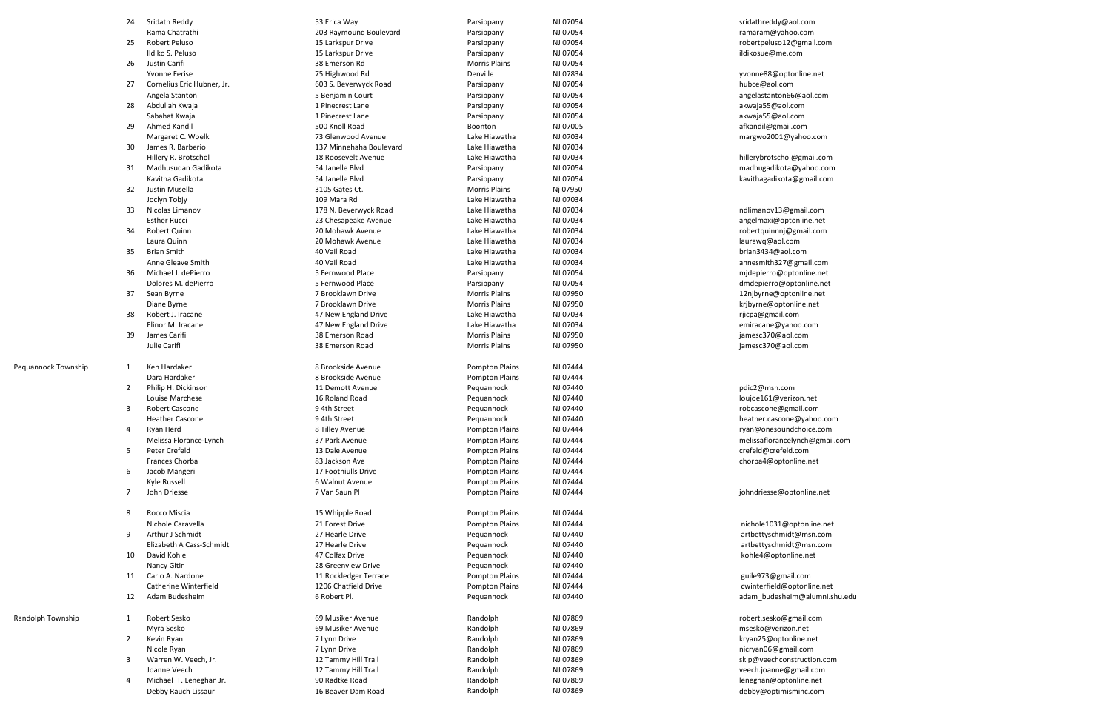|                     | 24             | Sridath Reddy              | 53 Erica Way            | Parsippany            | NJ 07054 | sridathreddy@aol.com           |
|---------------------|----------------|----------------------------|-------------------------|-----------------------|----------|--------------------------------|
|                     |                | Rama Chatrathi             | 203 Raymound Boulevard  | Parsippany            | NJ 07054 | ramaram@yahoo.com              |
|                     | 25             | <b>Robert Peluso</b>       | 15 Larkspur Drive       | Parsippany            | NJ 07054 | robertpeluso12@gmail.com       |
|                     |                | Ildiko S. Peluso           | 15 Larkspur Drive       | Parsippany            | NJ 07054 | ildikosue@me.com               |
|                     | 26             | Justin Carifi              | 38 Emerson Rd           | <b>Morris Plains</b>  | NJ 07054 |                                |
|                     |                | <b>Yvonne Ferise</b>       | 75 Highwood Rd          | Denville              | NJ 07834 | yvonne88@optonline.net         |
|                     | 27             | Cornelius Eric Hubner, Jr. | 603 S. Beverwyck Road   | Parsippany            | NJ 07054 | hubce@aol.com                  |
|                     |                | Angela Stanton             | 5 Benjamin Court        | Parsippany            | NJ 07054 | angelastanton66@aol.com        |
|                     | 28             | Abdullah Kwaja             | 1 Pinecrest Lane        | Parsippany            | NJ 07054 | akwaja55@aol.com               |
|                     |                | Sabahat Kwaja              | 1 Pinecrest Lane        | Parsippany            | NJ 07054 | akwaja55@aol.com               |
|                     | 29             | Ahmed Kandil               | 500 Knoll Road          | Boonton               | NJ 07005 | afkandil@gmail.com             |
|                     |                | Margaret C. Woelk          | 73 Glenwood Avenue      | Lake Hiawatha         | NJ 07034 | margwo2001@yahoo.com           |
|                     | 30             | James R. Barberio          | 137 Minnehaha Boulevard | Lake Hiawatha         | NJ 07034 |                                |
|                     |                | Hillery R. Brotschol       | 18 Roosevelt Avenue     | Lake Hiawatha         | NJ 07034 | hillerybrotschol@gmail.com     |
|                     | 31             | Madhusudan Gadikota        | 54 Janelle Blvd         | Parsippany            | NJ 07054 | madhugadikota@yahoo.com        |
|                     |                | Kavitha Gadikota           | 54 Janelle Blvd         | Parsippany            | NJ 07054 | kavithagadikota@gmail.com      |
|                     | 32             | Justin Musella             | 3105 Gates Ct.          | <b>Morris Plains</b>  | Nj 07950 |                                |
|                     |                | Joclyn Tobjy               | 109 Mara Rd             | Lake Hiawatha         | NJ 07034 |                                |
|                     | 33             | Nicolas Limanov            | 178 N. Beverwyck Road   | Lake Hiawatha         | NJ 07034 | ndlimanov13@gmail.com          |
|                     |                | <b>Esther Rucci</b>        | 23 Chesapeake Avenue    | Lake Hiawatha         | NJ 07034 |                                |
|                     |                | <b>Robert Quinn</b>        | 20 Mohawk Avenue        |                       | NJ 07034 | angelmaxi@optonline.net        |
|                     | 34             |                            |                         | Lake Hiawatha         |          | robertquinnnj@gmail.com        |
|                     |                | Laura Quinn                | 20 Mohawk Avenue        | Lake Hiawatha         | NJ 07034 | laurawq@aol.com                |
|                     | 35             | <b>Brian Smith</b>         | 40 Vail Road            | Lake Hiawatha         | NJ 07034 | brian3434@aol.com              |
|                     |                | Anne Gleave Smith          | 40 Vail Road            | Lake Hiawatha         | NJ 07034 | annesmith327@gmail.com         |
|                     | 36             | Michael J. dePierro        | 5 Fernwood Place        | Parsippany            | NJ 07054 | mjdepierro@optonline.net       |
|                     |                | Dolores M. dePierro        | 5 Fernwood Place        | Parsippany            | NJ 07054 | dmdepierro@optonline.net       |
|                     | 37             | Sean Byrne                 | 7 Brooklawn Drive       | Morris Plains         | NJ 07950 | 12njbyrne@optonline.net        |
|                     |                | Diane Byrne                | 7 Brooklawn Drive       | <b>Morris Plains</b>  | NJ 07950 | krjbyrne@optonline.net         |
|                     | 38             | Robert J. Iracane          | 47 New England Drive    | Lake Hiawatha         | NJ 07034 | rjicpa@gmail.com               |
|                     |                | Elinor M. Iracane          | 47 New England Drive    | Lake Hiawatha         | NJ 07034 | emiracane@yahoo.com            |
|                     | 39             | James Carifi               | 38 Emerson Road         | Morris Plains         | NJ 07950 | jamesc370@aol.com              |
|                     |                | Julie Carifi               | 38 Emerson Road         | Morris Plains         | NJ 07950 | jamesc370@aol.com              |
| Pequannock Township |                | Ken Hardaker               | 8 Brookside Avenue      | <b>Pompton Plains</b> | NJ 07444 |                                |
|                     | 1              |                            |                         |                       |          |                                |
|                     |                | Dara Hardaker              | 8 Brookside Avenue      | Pompton Plains        | NJ 07444 |                                |
|                     | 2              | Philip H. Dickinson        | 11 Demott Avenue        | Pequannock            | NJ 07440 | pdic2@msn.com                  |
|                     |                | Louise Marchese            | 16 Roland Road          | Pequannock            | NJ 07440 | loujoe161@verizon.net          |
|                     | 3              | <b>Robert Cascone</b>      | 9 4th Street            | Pequannock            | NJ 07440 | robcascone@gmail.com           |
|                     |                | <b>Heather Cascone</b>     | 9 4th Street            | Pequannock            | NJ 07440 | heather.cascone@yahoo.com      |
|                     | 4              | Ryan Herd                  | 8 Tilley Avenue         | Pompton Plains        | NJ 07444 | ryan@onesoundchoice.com        |
|                     |                | Melissa Florance-Lynch     | 37 Park Avenue          | Pompton Plains        | NJ 07444 | melissaflorancelynch@gmail.com |
|                     | 5              | Peter Crefeld              | 13 Dale Avenue          | <b>Pompton Plains</b> | NJ 07444 | crefeld@crefeld.com            |
|                     |                | Frances Chorba             | 83 Jackson Ave          | Pompton Plains        | NJ 07444 | chorba4@optonline.net          |
|                     | 6              | Jacob Mangeri              | 17 Foothiulls Drive     | Pompton Plains        | NJ 07444 |                                |
|                     |                | Kyle Russell               | 6 Walnut Avenue         | Pompton Plains        | NJ 07444 |                                |
|                     | $\overline{7}$ | John Driesse               | 7 Van Saun Pl           | Pompton Plains        | NJ 07444 | johndriesse@optonline.net      |
|                     | 8              | Rocco Miscia               | 15 Whipple Road         | Pompton Plains        | NJ 07444 |                                |
|                     |                | Nichole Caravella          | 71 Forest Drive         | Pompton Plains        | NJ 07444 | nichole1031@optonline.net      |
|                     | 9              | Arthur J Schmidt           | 27 Hearle Drive         | Pequannock            | NJ 07440 | artbettyschmidt@msn.com        |
|                     |                | Elizabeth A Cass-Schmidt   | 27 Hearle Drive         | Pequannock            | NJ 07440 | artbettyschmidt@msn.com        |
|                     |                |                            | 47 Colfax Drive         |                       |          |                                |
|                     | 10             | David Kohle                |                         | Pequannock            | NJ 07440 | kohle4@optonline.net           |
|                     |                | Nancy Gitin                | 28 Greenview Drive      | Pequannock            | NJ 07440 |                                |
|                     | 11             | Carlo A. Nardone           | 11 Rockledger Terrace   | Pompton Plains        | NJ 07444 | guile973@gmail.com             |
|                     |                | Catherine Winterfield      | 1206 Chatfield Drive    | <b>Pompton Plains</b> | NJ 07444 | cwinterfield@optonline.net     |
|                     | 12             | Adam Budesheim             | 6 Robert Pl.            | Pequannock            | NJ 07440 | adam_budesheim@alumni.shu.edu  |
| Randolph Township   | 1              | Robert Sesko               | 69 Musiker Avenue       | Randolph              | NJ 07869 | robert.sesko@gmail.com         |
|                     |                | Myra Sesko                 | 69 Musiker Avenue       | Randolph              | NJ 07869 | msesko@verizon.net             |
|                     | $\overline{2}$ | Kevin Ryan                 | 7 Lynn Drive            | Randolph              | NJ 07869 | kryan25@optonline.net          |
|                     |                | Nicole Ryan                | 7 Lynn Drive            | Randolph              | NJ 07869 | nicryan06@gmail.com            |
|                     | 3              | Warren W. Veech, Jr.       | 12 Tammy Hill Trail     | Randolph              | NJ 07869 | skip@veechconstruction.com     |
|                     |                | Joanne Veech               | 12 Tammy Hill Trail     | Randolph              | NJ 07869 | veech.joanne@gmail.com         |
|                     | 4              | Michael T. Leneghan Jr.    | 90 Radtke Road          | Randolph              | NJ 07869 | leneghan@optonline.net         |
|                     |                |                            |                         |                       |          |                                |

Debby Rauch Lissaur **16 Beaver Dam Road** Randolph NJ 07869 NJ 07869 and Debby@optimisminc.com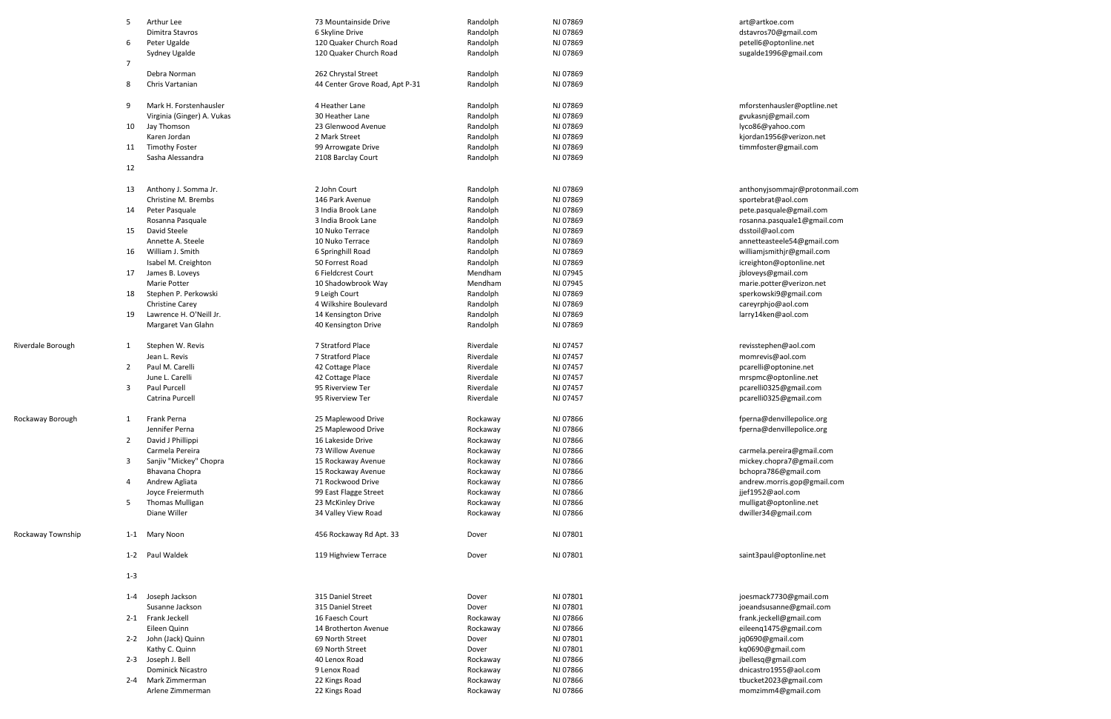|                   | 5              | Arthur Lee                            | 73 Mountainside Drive                    | Randolph               | NJ 07869             | art@artkoe.com                                   |
|-------------------|----------------|---------------------------------------|------------------------------------------|------------------------|----------------------|--------------------------------------------------|
|                   |                | Dimitra Stavros                       | 6 Skyline Drive                          | Randolph               | NJ 07869             | dstavros70@gmail.com                             |
|                   | 6              | Peter Ugalde                          | 120 Quaker Church Road                   | Randolph               | NJ 07869             | petell6@optonline.net                            |
|                   |                | Sydney Ugalde                         | 120 Quaker Church Road                   | Randolph               | NJ 07869             | sugalde1996@gmail.com                            |
|                   | $\overline{7}$ |                                       |                                          |                        |                      |                                                  |
|                   |                | Debra Norman                          | 262 Chrystal Street                      | Randolph               | NJ 07869             |                                                  |
|                   | 8              | Chris Vartanian                       | 44 Center Grove Road, Apt P-31           | Randolph               | NJ 07869             |                                                  |
|                   |                |                                       |                                          |                        |                      |                                                  |
|                   | 9              | Mark H. Forstenhausler                | 4 Heather Lane                           | Randolph               | NJ 07869             | mforstenhausler@optline.net                      |
|                   |                | Virginia (Ginger) A. Vukas            | 30 Heather Lane                          | Randolph               | NJ 07869             | gvukasnj@gmail.com                               |
|                   | 10             | Jay Thomson                           | 23 Glenwood Avenue                       | Randolph               | NJ 07869             | lyco86@yahoo.com                                 |
|                   |                | Karen Jordan<br><b>Timothy Foster</b> | 2 Mark Street                            | Randolph               | NJ 07869<br>NJ 07869 | kjordan1956@verizon.net                          |
|                   | 11             | Sasha Alessandra                      | 99 Arrowgate Drive<br>2108 Barclay Court | Randolph<br>Randolph   | NJ 07869             | timmfoster@gmail.com                             |
|                   | 12             |                                       |                                          |                        |                      |                                                  |
|                   |                |                                       |                                          |                        |                      |                                                  |
|                   | 13             | Anthony J. Somma Jr.                  | 2 John Court                             | Randolph               | NJ 07869             | anthonyjsommajr@protonmail.com                   |
|                   |                | Christine M. Brembs                   | 146 Park Avenue                          | Randolph               | NJ 07869             | sportebrat@aol.com                               |
|                   | 14             | Peter Pasquale                        | 3 India Brook Lane                       | Randolph               | NJ 07869             | pete.pasquale@gmail.com                          |
|                   |                | Rosanna Pasquale                      | 3 India Brook Lane                       | Randolph               | NJ 07869             | rosanna.pasquale1@gmail.com                      |
|                   | 15             | David Steele                          | 10 Nuko Terrace                          | Randolph               | NJ 07869             | dsstoil@aol.com                                  |
|                   |                | Annette A. Steele                     | 10 Nuko Terrace                          | Randolph               | NJ 07869             | annetteasteele54@gmail.com                       |
|                   | 16             | William J. Smith                      | 6 Springhill Road                        | Randolph               | NJ 07869             | williamjsmithjr@gmail.com                        |
|                   |                | Isabel M. Creighton                   | 50 Forrest Road                          | Randolph               | NJ 07869             | icreighton@optonline.net                         |
|                   | 17             | James B. Loveys                       | 6 Fieldcrest Court                       | Mendham                | NJ 07945             | jbloveys@gmail.com                               |
|                   |                | Marie Potter                          | 10 Shadowbrook Way                       | Mendham                | NJ 07945             | marie.potter@verizon.net                         |
|                   | 18             | Stephen P. Perkowski                  | 9 Leigh Court                            | Randolph               | NJ 07869             | sperkowski9@gmail.com                            |
|                   |                | Christine Carey                       | 4 Wilkshire Boulevard                    | Randolph               | NJ 07869             | careyrphjo@aol.com                               |
|                   | 19             | Lawrence H. O'Neill Jr.               | 14 Kensington Drive                      | Randolph               | NJ 07869             | larry14ken@aol.com                               |
|                   |                | Margaret Van Glahn                    | 40 Kensington Drive                      | Randolph               | NJ 07869             |                                                  |
|                   |                |                                       |                                          |                        |                      |                                                  |
| Riverdale Borough | 1              | Stephen W. Revis<br>Jean L. Revis     | 7 Stratford Place                        | Riverdale              | NJ 07457             | revisstephen@aol.com                             |
|                   |                | Paul M. Carelli                       | 7 Stratford Place                        | Riverdale              | NJ 07457             | momrevis@aol.com                                 |
|                   | $\mathbf{2}$   | June L. Carelli                       | 42 Cottage Place                         | Riverdale              | NJ 07457             | pcarelli@optonine.net                            |
|                   |                | Paul Purcell                          | 42 Cottage Place<br>95 Riverview Ter     | Riverdale              | NJ 07457             | mrspmc@optonline.net                             |
|                   | 3              | Catrina Purcell                       | 95 Riverview Ter                         | Riverdale<br>Riverdale | NJ 07457<br>NJ 07457 | pcarelli0325@gmail.com<br>pcarelli0325@gmail.com |
|                   |                |                                       |                                          |                        |                      |                                                  |
| Rockaway Borough  |                | Frank Perna                           | 25 Maplewood Drive                       | Rockaway               | NJ 07866             | fperna@denvillepolice.org                        |
|                   |                | Jennifer Perna                        | 25 Maplewood Drive                       | Rockaway               | NJ 07866             | fperna@denvillepolice.org                        |
|                   | $\overline{2}$ | David J Phillippi                     | 16 Lakeside Drive                        | Rockaway               | NJ 07866             |                                                  |
|                   |                | Carmela Pereira                       | 73 Willow Avenue                         | Rockaway               | NJ 07866             | carmela.pereira@gmail.com                        |
|                   | 3              | Sanjiv "Mickey" Chopra                | 15 Rockaway Avenue                       | Rockaway               | NJ 07866             | mickey.chopra7@gmail.com                         |
|                   |                | Bhavana Chopra                        | 15 Rockaway Avenue                       | Rockaway               | NJ 07866             | bchopra786@gmail.com                             |
|                   | 4              | Andrew Agliata                        | 71 Rockwood Drive                        | Rockaway               | NJ 07866             | andrew.morris.gop@gmail.com                      |
|                   |                | Joyce Freiermuth                      | 99 East Flagge Street                    | Rockaway               | NJ 07866             | jjef1952@aol.com                                 |
|                   | 5              | <b>Thomas Mulligan</b>                | 23 McKinley Drive                        | Rockaway               | NJ 07866             | mulligat@optonline.net                           |
|                   |                | Diane Willer                          | 34 Valley View Road                      | Rockaway               | NJ 07866             | dwiller34@gmail.com                              |
| Rockaway Township |                | 1-1 Mary Noon                         | 456 Rockaway Rd Apt. 33                  | Dover                  | NJ 07801             |                                                  |
|                   |                | 1-2 Paul Waldek                       | 119 Highview Terrace                     | Dover                  | NJ 07801             | saint3paul@optonline.net                         |
|                   | $1 - 3$        |                                       |                                          |                        |                      |                                                  |
|                   | 1-4            | Joseph Jackson                        | 315 Daniel Street                        | Dover                  | NJ 07801             | joesmack7730@gmail.com                           |
|                   |                | Susanne Jackson                       | 315 Daniel Street                        | Dover                  | NJ 07801             | joeandsusanne@gmail.com                          |
|                   |                | 2-1 Frank Jeckell                     | 16 Faesch Court                          | Rockaway               | NJ 07866             | frank.jeckell@gmail.com                          |
|                   |                | Eileen Quinn                          | 14 Brotherton Avenue                     | Rockaway               | NJ 07866             | eileenq1475@gmail.com                            |
|                   |                | 2-2 John (Jack) Quinn                 | 69 North Street                          | Dover                  | NJ 07801             | jq0690@gmail.com                                 |
|                   |                | Kathy C. Quinn                        | 69 North Street                          | Dover                  | NJ 07801             | kq0690@gmail.com                                 |
|                   |                | 2-3 Joseph J. Bell                    | 40 Lenox Road                            | Rockaway               | NJ 07866             | jbellesq@gmail.com                               |
|                   |                | <b>Dominick Nicastro</b>              | 9 Lenox Road                             | Rockaway               | NJ 07866             | dnicastro1955@aol.com                            |
|                   |                | 2-4 Mark Zimmerman                    | 22 Kings Road                            | Rockaway               | NJ 07866             | tbucket2023@gmail.com                            |
|                   |                | Arlene Zimmerman                      | 22 Kings Road                            | Rockaway               | NJ 07866             | momzimm4@gmail.com                               |
|                   |                |                                       |                                          |                        |                      |                                                  |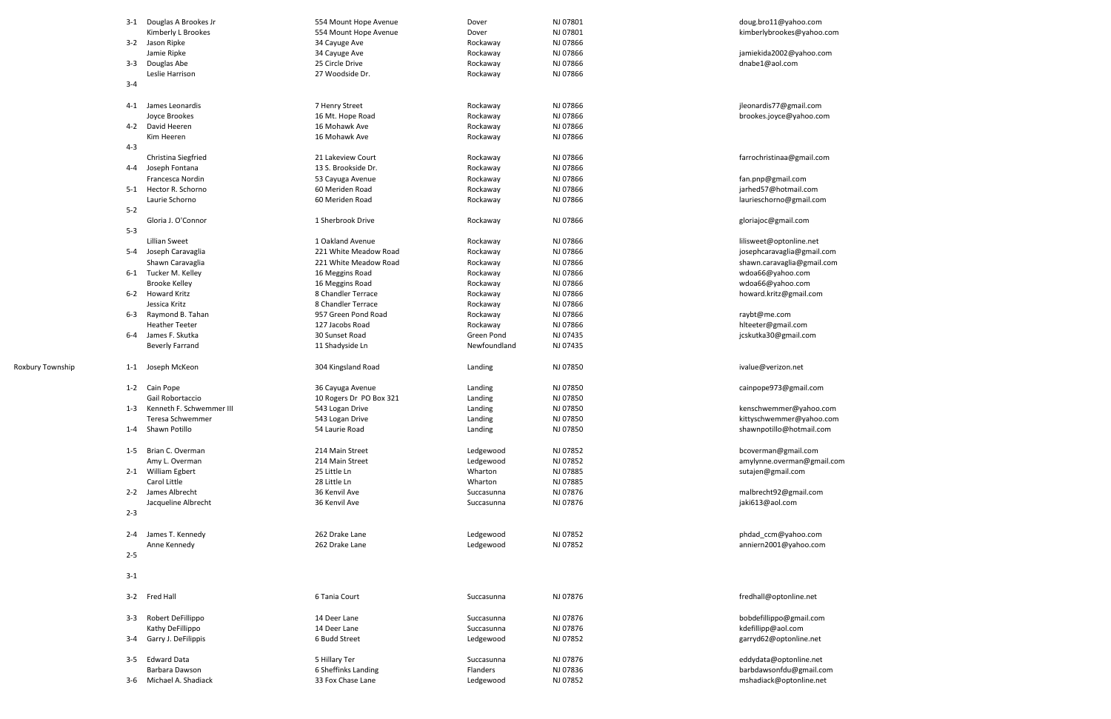|                  |         | 3-1 Douglas A Brookes Jr | 554 Mount Hope Avenue   | Dover        | NJ 07801 | doug.bro11@yahoo.com       |
|------------------|---------|--------------------------|-------------------------|--------------|----------|----------------------------|
|                  |         | Kimberly L Brookes       | 554 Mount Hope Avenue   | Dover        | NJ 07801 | kimberlybrookes@yahoo.com  |
|                  |         | 3-2 Jason Ripke          | 34 Cayuge Ave           | Rockaway     | NJ 07866 |                            |
|                  |         | Jamie Ripke              | 34 Cayuge Ave           | Rockaway     | NJ 07866 | jamiekida2002@yahoo.com    |
|                  | $3 - 3$ | Douglas Abe              | 25 Circle Drive         | Rockaway     | NJ 07866 | dnabe1@aol.com             |
|                  | $3 - 4$ | Leslie Harrison          | 27 Woodside Dr.         | Rockaway     | NJ 07866 |                            |
|                  |         |                          |                         |              |          |                            |
|                  | 4-1     | James Leonardis          | 7 Henry Street          | Rockaway     | NJ 07866 | jleonardis77@gmail.com     |
|                  |         | Joyce Brookes            | 16 Mt. Hope Road        | Rockaway     | NJ 07866 | brookes.joyce@yahoo.com    |
|                  |         | 4-2 David Heeren         | 16 Mohawk Ave           | Rockaway     | NJ 07866 |                            |
|                  |         | Kim Heeren               | 16 Mohawk Ave           | Rockaway     | NJ 07866 |                            |
|                  | $4 - 3$ |                          |                         |              |          |                            |
|                  |         | Christina Siegfried      | 21 Lakeview Court       | Rockaway     | NJ 07866 | farrochristinaa@gmail.com  |
|                  | 4-4     | Joseph Fontana           | 13 S. Brookside Dr.     | Rockaway     | NJ 07866 |                            |
|                  |         | Francesca Nordin         | 53 Cayuga Avenue        | Rockaway     | NJ 07866 | fan.pnp@gmail.com          |
|                  |         | 5-1 Hector R. Schorno    | 60 Meriden Road         | Rockaway     | NJ 07866 | jarhed57@hotmail.com       |
|                  |         | Laurie Schorno           | 60 Meriden Road         | Rockaway     | NJ 07866 | laurieschorno@gmail.com    |
|                  | $5 - 2$ |                          |                         |              |          |                            |
|                  |         | Gloria J. O'Connor       | 1 Sherbrook Drive       | Rockaway     | NJ 07866 | gloriajoc@gmail.com        |
|                  | $5 - 3$ |                          |                         |              |          |                            |
|                  |         | <b>Lillian Sweet</b>     | 1 Oakland Avenue        | Rockaway     | NJ 07866 | lilisweet@optonline.net    |
|                  |         | 5-4 Joseph Caravaglia    | 221 White Meadow Road   | Rockaway     | NJ 07866 | josephcaravaglia@gmail.com |
|                  |         | Shawn Caravaglia         | 221 White Meadow Road   | Rockaway     | NJ 07866 | shawn.caravaglia@gmail.com |
|                  |         | 6-1 Tucker M. Kelley     | 16 Meggins Road         | Rockaway     | NJ 07866 | wdoa66@yahoo.com           |
|                  |         | <b>Brooke Kelley</b>     | 16 Meggins Road         | Rockaway     | NJ 07866 | wdoa66@yahoo.com           |
|                  |         | 6-2 Howard Kritz         | 8 Chandler Terrace      | Rockaway     | NJ 07866 | howard.kritz@gmail.com     |
|                  |         | Jessica Kritz            | 8 Chandler Terrace      | Rockaway     | NJ 07866 |                            |
|                  | 6-3     | Raymond B. Tahan         | 957 Green Pond Road     | Rockaway     | NJ 07866 | raybt@me.com               |
|                  |         | <b>Heather Teeter</b>    | 127 Jacobs Road         | Rockaway     | NJ 07866 | hlteeter@gmail.com         |
|                  | 6-4     | James F. Skutka          | 30 Sunset Road          | Green Pond   | NJ 07435 | jcskutka30@gmail.com       |
|                  |         | <b>Beverly Farrand</b>   | 11 Shadyside Ln         | Newfoundland | NJ 07435 |                            |
| Roxbury Township | 1-1     | Joseph McKeon            | 304 Kingsland Road      | Landing      | NJ 07850 | ivalue@verizon.net         |
|                  | $1 - 2$ | Cain Pope                | 36 Cayuga Avenue        | Landing      | NJ 07850 | cainpope973@gmail.com      |
|                  |         | Gail Robortaccio         | 10 Rogers Dr PO Box 321 | Landing      | NJ 07850 |                            |
|                  |         | Kenneth F. Schwemmer III |                         |              |          |                            |
|                  | $1 - 3$ |                          | 543 Logan Drive         | Landing      | NJ 07850 | kenschwemmer@yahoo.com     |
|                  |         | Teresa Schwemmer         | 543 Logan Drive         | Landing      | NJ 07850 | kittyschwemmer@yahoo.com   |
|                  |         | 1-4 Shawn Potillo        | 54 Laurie Road          | Landing      | NJ 07850 | shawnpotillo@hotmail.com   |
|                  | 1-5     | Brian C. Overman         | 214 Main Street         | Ledgewood    | NJ 07852 | bcoverman@gmail.com        |
|                  |         | Amy L. Overman           | 214 Main Street         | Ledgewood    | NJ 07852 | amylynne.overman@gmail.com |
|                  |         | 2-1 William Egbert       | 25 Little Ln            | Wharton      | NJ 07885 | sutajen@gmail.com          |
|                  |         | Carol Little             | 28 Little Ln            | Wharton      | NJ 07885 |                            |
|                  |         | 2-2 James Albrecht       | 36 Kenvil Ave           | Succasunna   | NJ 07876 | malbrecht92@gmail.com      |
|                  |         | Jacqueline Albrecht      | 36 Kenvil Ave           | Succasunna   | NJ 07876 | jaki613@aol.com            |
|                  | $2 - 3$ |                          |                         |              |          |                            |
|                  |         |                          |                         |              |          |                            |
|                  |         | 2-4 James T. Kennedy     | 262 Drake Lane          | Ledgewood    | NJ 07852 | phdad_ccm@yahoo.com        |
|                  |         | Anne Kennedy             | 262 Drake Lane          | Ledgewood    | NJ 07852 | anniern2001@yahoo.com      |
|                  | $2 - 5$ |                          |                         |              |          |                            |
|                  |         |                          |                         |              |          |                            |
|                  | $3 - 1$ |                          |                         |              |          |                            |
|                  |         |                          |                         |              |          |                            |
|                  |         | 3-2 Fred Hall            | 6 Tania Court           | Succasunna   | NJ 07876 | fredhall@optonline.net     |
|                  |         |                          |                         |              |          |                            |
|                  | 3-3     | Robert DeFillippo        | 14 Deer Lane            | Succasunna   | NJ 07876 | bobdefillippo@gmail.com    |
|                  |         | Kathy DeFillippo         | 14 Deer Lane            | Succasunna   | NJ 07876 | kdefillipp@aol.com         |
|                  | $3 - 4$ | Garry J. DeFilippis      | 6 Budd Street           | Ledgewood    | NJ 07852 | garryd62@optonline.net     |
|                  | $3 - 5$ | <b>Edward Data</b>       | 5 Hillary Ter           | Succasunna   | NJ 07876 | eddydata@optonline.net     |
|                  |         | Barbara Dawson           | 6 Sheffinks Landing     | Flanders     | NJ 07836 | barbdawsonfdu@gmail.com    |
|                  | 3-6     | Michael A. Shadiack      | 33 Fox Chase Lane       | Ledgewood    | NJ 07852 | mshadiack@optonline.net    |
|                  |         |                          |                         |              |          |                            |